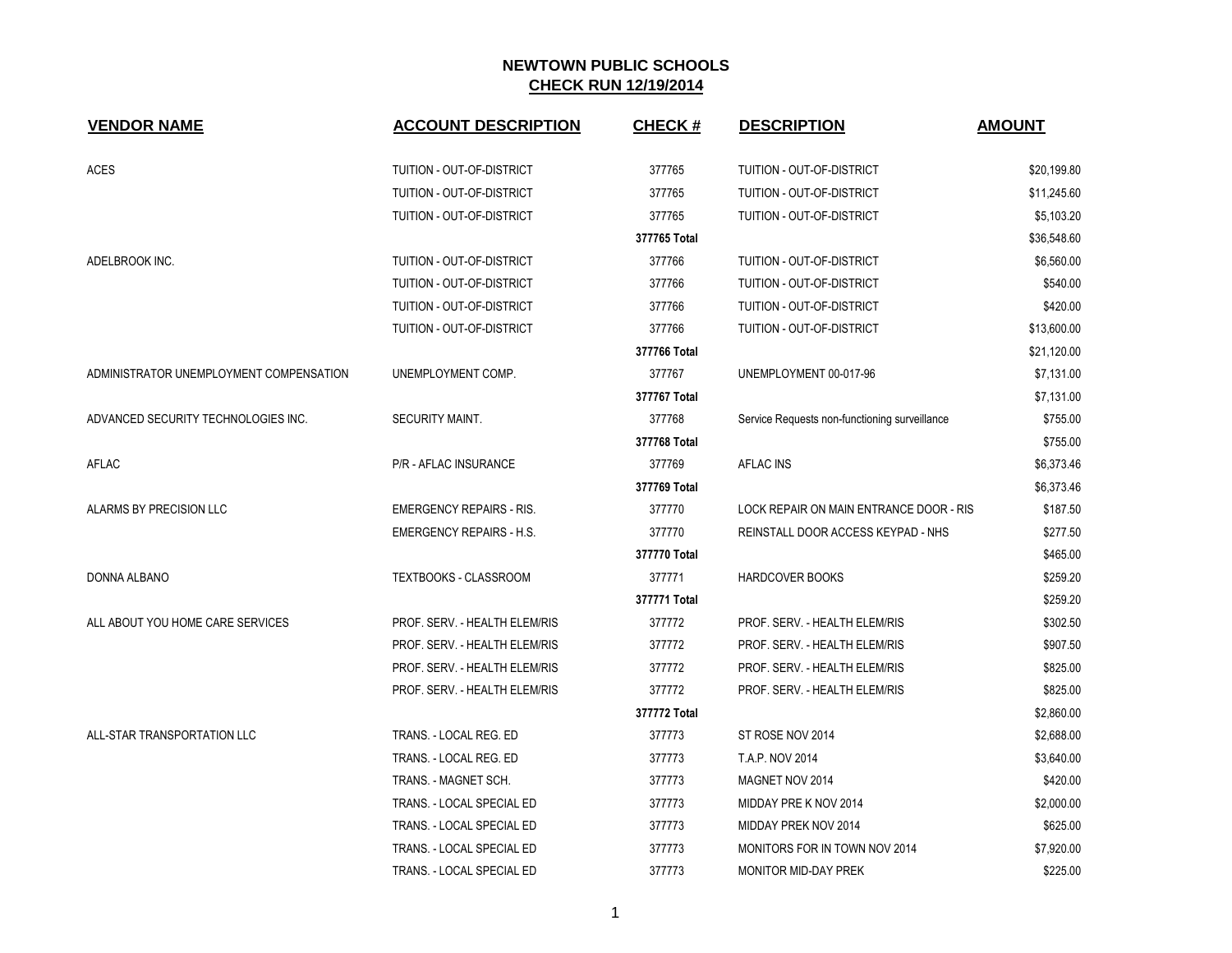| <b>VENDOR NAME</b>                      | <b>ACCOUNT DESCRIPTION</b>      | <b>CHECK#</b> | <b>DESCRIPTION</b>                            | <b>AMOUNT</b> |
|-----------------------------------------|---------------------------------|---------------|-----------------------------------------------|---------------|
| <b>ACES</b>                             | TUITION - OUT-OF-DISTRICT       | 377765        | TUITION - OUT-OF-DISTRICT                     | \$20,199.80   |
|                                         | TUITION - OUT-OF-DISTRICT       | 377765        | TUITION - OUT-OF-DISTRICT                     | \$11,245.60   |
|                                         | TUITION - OUT-OF-DISTRICT       | 377765        | TUITION - OUT-OF-DISTRICT                     | \$5,103.20    |
|                                         |                                 | 377765 Total  |                                               | \$36,548.60   |
| ADELBROOK INC.                          | TUITION - OUT-OF-DISTRICT       | 377766        | TUITION - OUT-OF-DISTRICT                     | \$6,560.00    |
|                                         | TUITION - OUT-OF-DISTRICT       | 377766        | TUITION - OUT-OF-DISTRICT                     | \$540.00      |
|                                         | TUITION - OUT-OF-DISTRICT       | 377766        | TUITION - OUT-OF-DISTRICT                     | \$420.00      |
|                                         | TUITION - OUT-OF-DISTRICT       | 377766        | TUITION - OUT-OF-DISTRICT                     | \$13,600.00   |
|                                         |                                 | 377766 Total  |                                               | \$21,120.00   |
| ADMINISTRATOR UNEMPLOYMENT COMPENSATION | UNEMPLOYMENT COMP.              | 377767        | UNEMPLOYMENT 00-017-96                        | \$7,131.00    |
|                                         |                                 | 377767 Total  |                                               | \$7,131.00    |
| ADVANCED SECURITY TECHNOLOGIES INC.     | <b>SECURITY MAINT.</b>          | 377768        | Service Requests non-functioning surveillance | \$755.00      |
|                                         |                                 | 377768 Total  |                                               | \$755.00      |
| AFLAC                                   | P/R - AFLAC INSURANCE           | 377769        | <b>AFLAC INS</b>                              | \$6,373.46    |
|                                         |                                 | 377769 Total  |                                               | \$6,373.46    |
| ALARMS BY PRECISION LLC                 | <b>EMERGENCY REPAIRS - RIS.</b> | 377770        | LOCK REPAIR ON MAIN ENTRANCE DOOR - RIS       | \$187.50      |
|                                         | <b>EMERGENCY REPAIRS - H.S.</b> | 377770        | REINSTALL DOOR ACCESS KEYPAD - NHS            | \$277.50      |
|                                         |                                 | 377770 Total  |                                               | \$465.00      |
| DONNA ALBANO                            | <b>TEXTBOOKS - CLASSROOM</b>    | 377771        | <b>HARDCOVER BOOKS</b>                        | \$259.20      |
|                                         |                                 | 377771 Total  |                                               | \$259.20      |
| ALL ABOUT YOU HOME CARE SERVICES        | PROF. SERV. - HEALTH ELEM/RIS   | 377772        | PROF. SERV. - HEALTH ELEM/RIS                 | \$302.50      |
|                                         | PROF. SERV. - HEALTH ELEM/RIS   | 377772        | PROF. SERV. - HEALTH ELEM/RIS                 | \$907.50      |
|                                         | PROF. SERV. - HEALTH ELEM/RIS   | 377772        | PROF. SERV. - HEALTH ELEM/RIS                 | \$825.00      |
|                                         | PROF. SERV. - HEALTH ELEM/RIS   | 377772        | PROF. SERV. - HEALTH ELEM/RIS                 | \$825.00      |
|                                         |                                 | 377772 Total  |                                               | \$2,860.00    |
| ALL-STAR TRANSPORTATION LLC             | TRANS. - LOCAL REG. ED          | 377773        | ST ROSE NOV 2014                              | \$2,688.00    |
|                                         | TRANS. - LOCAL REG. ED          | 377773        | <b>T.A.P. NOV 2014</b>                        | \$3,640.00    |
|                                         | TRANS. - MAGNET SCH.            | 377773        | MAGNET NOV 2014                               | \$420.00      |
|                                         | TRANS. - LOCAL SPECIAL ED       | 377773        | MIDDAY PRE K NOV 2014                         | \$2,000.00    |
|                                         | TRANS. - LOCAL SPECIAL ED       | 377773        | MIDDAY PREK NOV 2014                          | \$625.00      |
|                                         | TRANS. - LOCAL SPECIAL ED       | 377773        | MONITORS FOR IN TOWN NOV 2014                 | \$7,920.00    |
|                                         | TRANS. - LOCAL SPECIAL ED       | 377773        | <b>MONITOR MID-DAY PREK</b>                   | \$225.00      |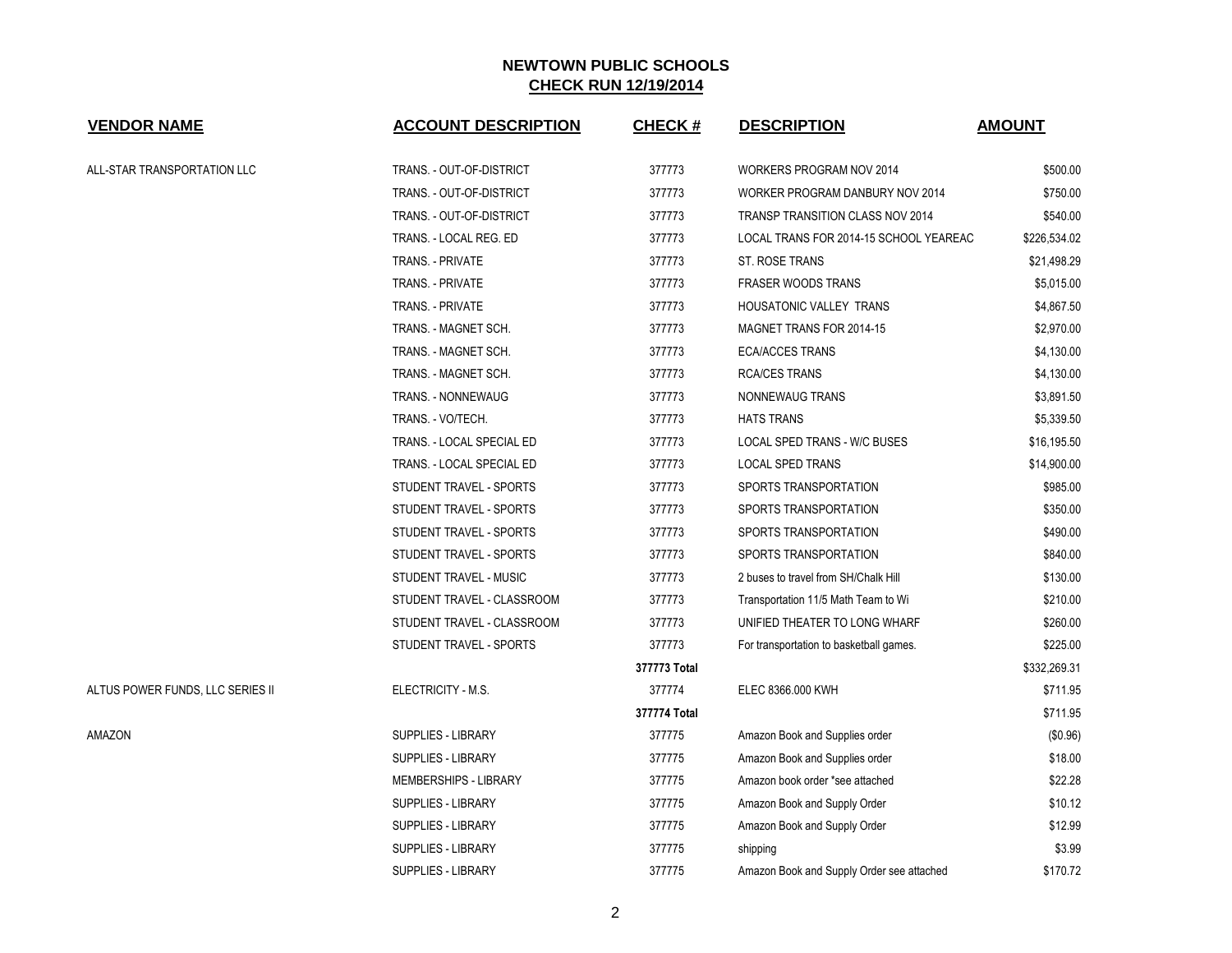| <b>VENDOR NAME</b>               | <b>ACCOUNT DESCRIPTION</b> | <b>CHECK#</b> | <b>DESCRIPTION</b>                        | <b>AMOUNT</b> |
|----------------------------------|----------------------------|---------------|-------------------------------------------|---------------|
| ALL-STAR TRANSPORTATION LLC      | TRANS. - OUT-OF-DISTRICT   | 377773        | WORKERS PROGRAM NOV 2014                  | \$500.00      |
|                                  | TRANS. - OUT-OF-DISTRICT   | 377773        | WORKER PROGRAM DANBURY NOV 2014           | \$750.00      |
|                                  | TRANS. - OUT-OF-DISTRICT   | 377773        | TRANSP TRANSITION CLASS NOV 2014          | \$540.00      |
|                                  | TRANS. - LOCAL REG. ED     | 377773        | LOCAL TRANS FOR 2014-15 SCHOOL YEAREAC    | \$226,534.02  |
|                                  | TRANS. - PRIVATE           | 377773        | ST. ROSE TRANS                            | \$21,498.29   |
|                                  | <b>TRANS. - PRIVATE</b>    | 377773        | <b>FRASER WOODS TRANS</b>                 | \$5,015.00    |
|                                  | <b>TRANS. - PRIVATE</b>    | 377773        | <b>HOUSATONIC VALLEY TRANS</b>            | \$4,867.50    |
|                                  | TRANS. - MAGNET SCH.       | 377773        | MAGNET TRANS FOR 2014-15                  | \$2,970.00    |
|                                  | TRANS. - MAGNET SCH.       | 377773        | <b>ECA/ACCES TRANS</b>                    | \$4,130.00    |
|                                  | TRANS. - MAGNET SCH.       | 377773        | <b>RCA/CES TRANS</b>                      | \$4,130.00    |
|                                  | TRANS. - NONNEWAUG         | 377773        | NONNEWAUG TRANS                           | \$3,891.50    |
|                                  | TRANS. - VO/TECH.          | 377773        | <b>HATS TRANS</b>                         | \$5,339.50    |
|                                  | TRANS. - LOCAL SPECIAL ED  | 377773        | LOCAL SPED TRANS - W/C BUSES              | \$16,195.50   |
|                                  | TRANS. - LOCAL SPECIAL ED  | 377773        | LOCAL SPED TRANS                          | \$14,900.00   |
|                                  | STUDENT TRAVEL - SPORTS    | 377773        | SPORTS TRANSPORTATION                     | \$985.00      |
|                                  | STUDENT TRAVEL - SPORTS    | 377773        | SPORTS TRANSPORTATION                     | \$350.00      |
|                                  | STUDENT TRAVEL - SPORTS    | 377773        | SPORTS TRANSPORTATION                     | \$490.00      |
|                                  | STUDENT TRAVEL - SPORTS    | 377773        | SPORTS TRANSPORTATION                     | \$840.00      |
|                                  | STUDENT TRAVEL - MUSIC     | 377773        | 2 buses to travel from SH/Chalk Hill      | \$130.00      |
|                                  | STUDENT TRAVEL - CLASSROOM | 377773        | Transportation 11/5 Math Team to Wi       | \$210.00      |
|                                  | STUDENT TRAVEL - CLASSROOM | 377773        | UNIFIED THEATER TO LONG WHARF             | \$260.00      |
|                                  | STUDENT TRAVEL - SPORTS    | 377773        | For transportation to basketball games.   | \$225.00      |
|                                  |                            | 377773 Total  |                                           | \$332,269.31  |
| ALTUS POWER FUNDS, LLC SERIES II | ELECTRICITY - M.S.         | 377774        | ELEC 8366.000 KWH                         | \$711.95      |
|                                  |                            | 377774 Total  |                                           | \$711.95      |
| AMAZON                           | SUPPLIES - LIBRARY         | 377775        | Amazon Book and Supplies order            | (\$0.96)      |
|                                  | SUPPLIES - LIBRARY         | 377775        | Amazon Book and Supplies order            | \$18.00       |
|                                  | MEMBERSHIPS - LIBRARY      | 377775        | Amazon book order *see attached           | \$22.28       |
|                                  | <b>SUPPLIES - LIBRARY</b>  | 377775        | Amazon Book and Supply Order              | \$10.12       |
|                                  | SUPPLIES - LIBRARY         | 377775        | Amazon Book and Supply Order              | \$12.99       |
|                                  | SUPPLIES - LIBRARY         | 377775        | shipping                                  | \$3.99        |
|                                  | <b>SUPPLIES - LIBRARY</b>  | 377775        | Amazon Book and Supply Order see attached | \$170.72      |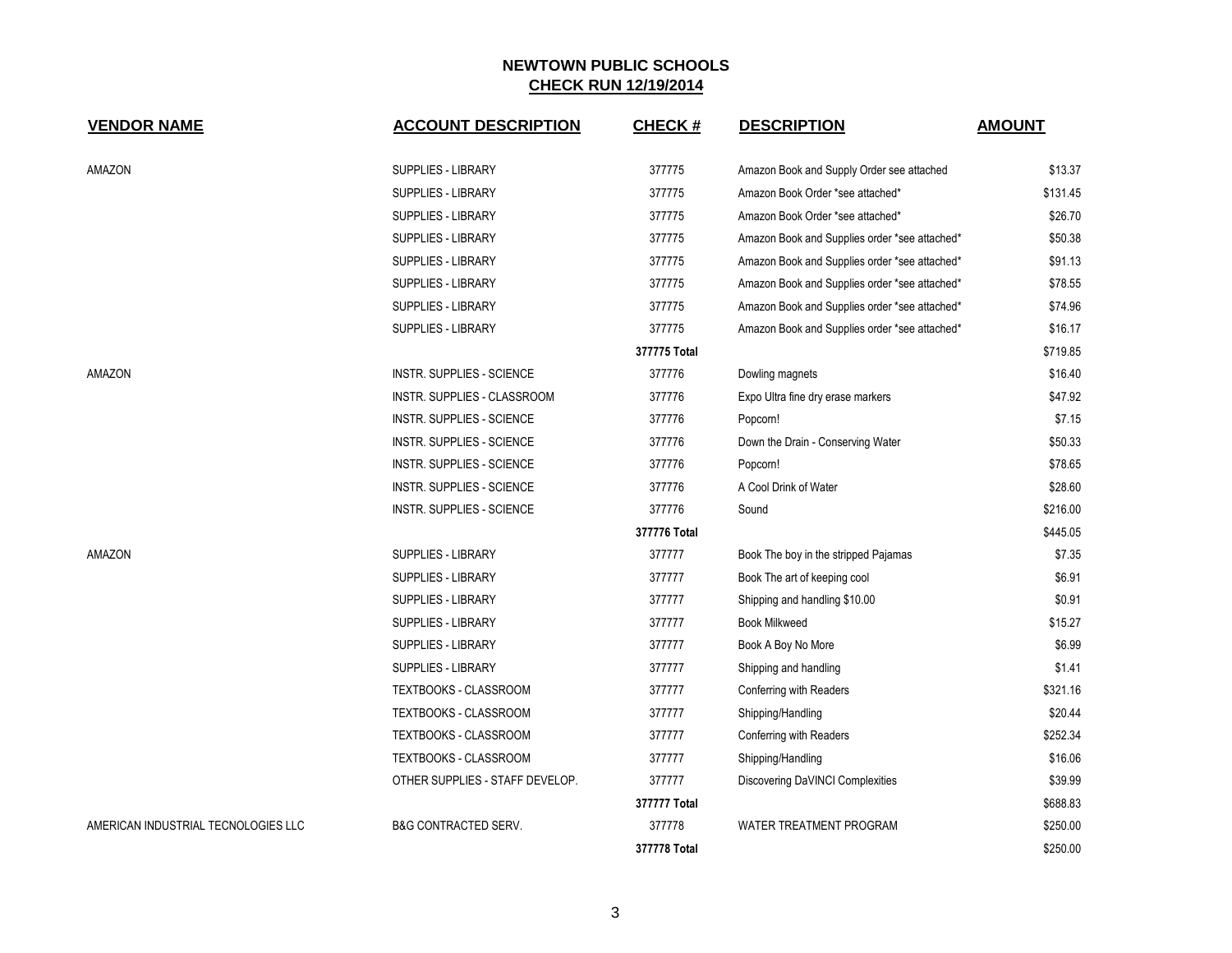| <b>VENDOR NAME</b>                  | <b>ACCOUNT DESCRIPTION</b>       | <b>CHECK#</b> | <b>DESCRIPTION</b>                            | <b>AMOUNT</b> |
|-------------------------------------|----------------------------------|---------------|-----------------------------------------------|---------------|
| AMAZON                              | SUPPLIES - LIBRARY               | 377775        | Amazon Book and Supply Order see attached     | \$13.37       |
|                                     | SUPPLIES - LIBRARY               | 377775        | Amazon Book Order *see attached*              | \$131.45      |
|                                     | SUPPLIES - LIBRARY               | 377775        | Amazon Book Order *see attached*              | \$26.70       |
|                                     | SUPPLIES - LIBRARY               | 377775        | Amazon Book and Supplies order *see attached* | \$50.38       |
|                                     | SUPPLIES - LIBRARY               | 377775        | Amazon Book and Supplies order *see attached* | \$91.13       |
|                                     | <b>SUPPLIES - LIBRARY</b>        | 377775        | Amazon Book and Supplies order *see attached* | \$78.55       |
|                                     | SUPPLIES - LIBRARY               | 377775        | Amazon Book and Supplies order *see attached* | \$74.96       |
|                                     | SUPPLIES - LIBRARY               | 377775        | Amazon Book and Supplies order *see attached* | \$16.17       |
|                                     |                                  | 377775 Total  |                                               | \$719.85      |
| AMAZON                              | <b>INSTR. SUPPLIES - SCIENCE</b> | 377776        | Dowling magnets                               | \$16.40       |
|                                     | INSTR. SUPPLIES - CLASSROOM      | 377776        | Expo Ultra fine dry erase markers             | \$47.92       |
|                                     | <b>INSTR. SUPPLIES - SCIENCE</b> | 377776        | Popcorn!                                      | \$7.15        |
|                                     | <b>INSTR. SUPPLIES - SCIENCE</b> | 377776        | Down the Drain - Conserving Water             | \$50.33       |
|                                     | <b>INSTR. SUPPLIES - SCIENCE</b> | 377776        | Popcorn!                                      | \$78.65       |
|                                     | <b>INSTR. SUPPLIES - SCIENCE</b> | 377776        | A Cool Drink of Water                         | \$28.60       |
|                                     | <b>INSTR. SUPPLIES - SCIENCE</b> | 377776        | Sound                                         | \$216.00      |
|                                     |                                  | 377776 Total  |                                               | \$445.05      |
| AMAZON                              | <b>SUPPLIES - LIBRARY</b>        | 377777        | Book The boy in the stripped Pajamas          | \$7.35        |
|                                     | SUPPLIES - LIBRARY               | 377777        | Book The art of keeping cool                  | \$6.91        |
|                                     | SUPPLIES - LIBRARY               | 377777        | Shipping and handling \$10.00                 | \$0.91        |
|                                     | <b>SUPPLIES - LIBRARY</b>        | 377777        | <b>Book Milkweed</b>                          | \$15.27       |
|                                     | SUPPLIES - LIBRARY               | 377777        | Book A Boy No More                            | \$6.99        |
|                                     | SUPPLIES - LIBRARY               | 377777        | Shipping and handling                         | \$1.41        |
|                                     | TEXTBOOKS - CLASSROOM            | 377777        | Conferring with Readers                       | \$321.16      |
|                                     | TEXTBOOKS - CLASSROOM            | 377777        | Shipping/Handling                             | \$20.44       |
|                                     | TEXTBOOKS - CLASSROOM            | 377777        | Conferring with Readers                       | \$252.34      |
|                                     | TEXTBOOKS - CLASSROOM            | 377777        | Shipping/Handling                             | \$16.06       |
|                                     | OTHER SUPPLIES - STAFF DEVELOP.  | 377777        | Discovering DaVINCI Complexities              | \$39.99       |
|                                     |                                  | 377777 Total  |                                               | \$688.83      |
| AMERICAN INDUSTRIAL TECNOLOGIES LLC | <b>B&amp;G CONTRACTED SERV.</b>  | 377778        | WATER TREATMENT PROGRAM                       | \$250.00      |
|                                     |                                  | 377778 Total  |                                               | \$250.00      |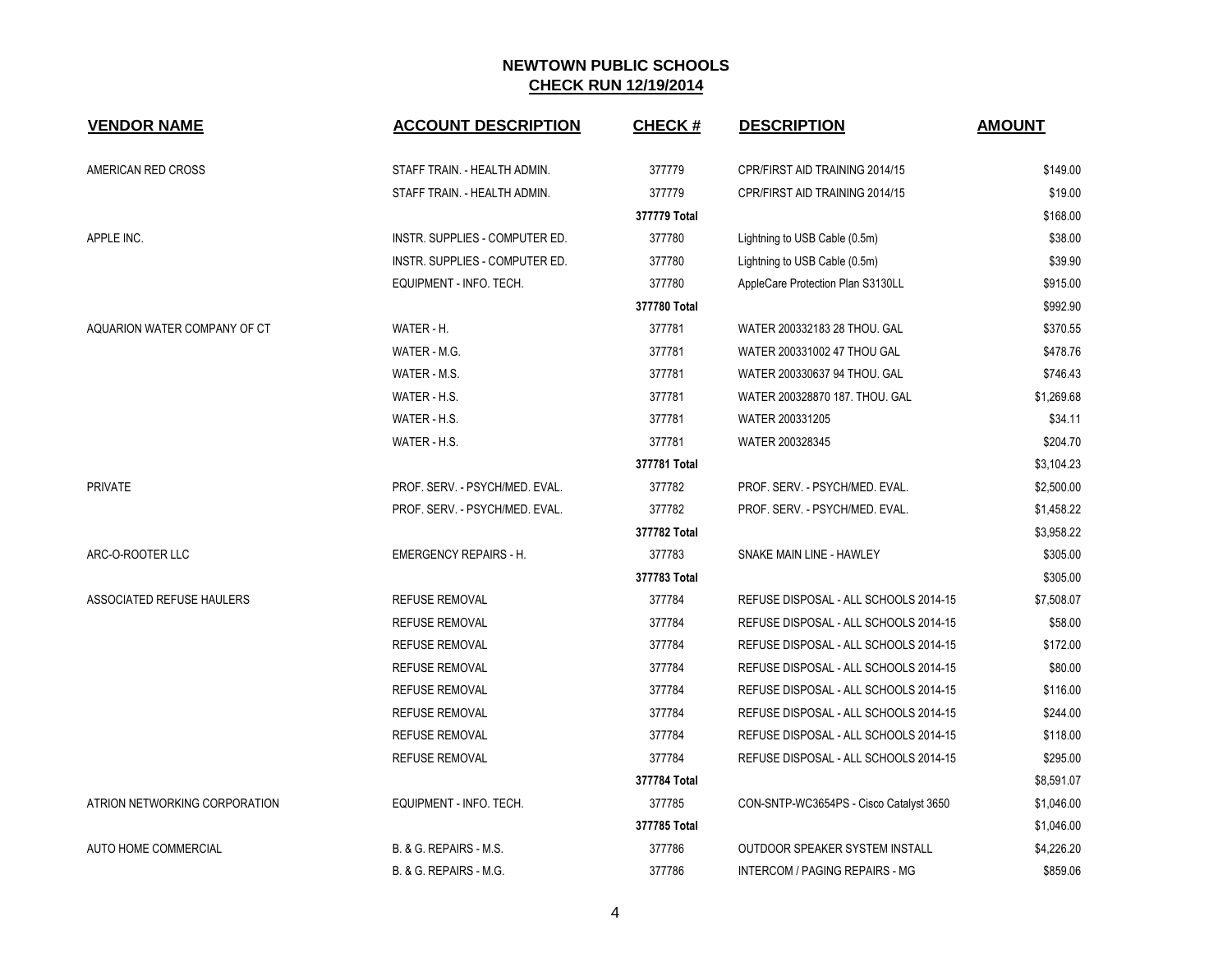| <b>VENDOR NAME</b>            | <b>ACCOUNT DESCRIPTION</b>     | <b>CHECK#</b> | <b>DESCRIPTION</b>                      | <b>AMOUNT</b> |
|-------------------------------|--------------------------------|---------------|-----------------------------------------|---------------|
| AMERICAN RED CROSS            | STAFF TRAIN. - HEALTH ADMIN.   | 377779        | CPR/FIRST AID TRAINING 2014/15          | \$149.00      |
|                               | STAFF TRAIN. - HEALTH ADMIN.   | 377779        | CPR/FIRST AID TRAINING 2014/15          | \$19.00       |
|                               |                                | 377779 Total  |                                         | \$168.00      |
| APPLE INC.                    | INSTR. SUPPLIES - COMPUTER ED. | 377780        | Lightning to USB Cable (0.5m)           | \$38.00       |
|                               | INSTR. SUPPLIES - COMPUTER ED. | 377780        | Lightning to USB Cable (0.5m)           | \$39.90       |
|                               | EQUIPMENT - INFO. TECH.        | 377780        | AppleCare Protection Plan S3130LL       | \$915.00      |
|                               |                                | 377780 Total  |                                         | \$992.90      |
| AQUARION WATER COMPANY OF CT  | WATER - H.                     | 377781        | WATER 200332183 28 THOU. GAL            | \$370.55      |
|                               | WATER - M.G.                   | 377781        | WATER 200331002 47 THOU GAL             | \$478.76      |
|                               | WATER - M.S.                   | 377781        | WATER 200330637 94 THOU. GAL            | \$746.43      |
|                               | WATER - H.S.                   | 377781        | WATER 200328870 187, THOU, GAL          | \$1,269.68    |
|                               | WATER - H.S.                   | 377781        | WATER 200331205                         | \$34.11       |
|                               | WATER - H.S.                   | 377781        | WATER 200328345                         | \$204.70      |
|                               |                                | 377781 Total  |                                         | \$3,104.23    |
| <b>PRIVATE</b>                | PROF. SERV. - PSYCH/MED. EVAL. | 377782        | PROF. SERV. - PSYCH/MED. EVAL.          | \$2,500.00    |
|                               | PROF. SERV. - PSYCH/MED. EVAL. | 377782        | PROF. SERV. - PSYCH/MED. EVAL.          | \$1,458.22    |
|                               |                                | 377782 Total  |                                         | \$3,958.22    |
| ARC-O-ROOTER LLC              | <b>EMERGENCY REPAIRS - H.</b>  | 377783        | SNAKE MAIN LINE - HAWLEY                | \$305.00      |
|                               |                                | 377783 Total  |                                         | \$305.00      |
| ASSOCIATED REFUSE HAULERS     | <b>REFUSE REMOVAL</b>          | 377784        | REFUSE DISPOSAL - ALL SCHOOLS 2014-15   | \$7,508.07    |
|                               | <b>REFUSE REMOVAL</b>          | 377784        | REFUSE DISPOSAL - ALL SCHOOLS 2014-15   | \$58.00       |
|                               | <b>REFUSE REMOVAL</b>          | 377784        | REFUSE DISPOSAL - ALL SCHOOLS 2014-15   | \$172.00      |
|                               | <b>REFUSE REMOVAL</b>          | 377784        | REFUSE DISPOSAL - ALL SCHOOLS 2014-15   | \$80.00       |
|                               | <b>REFUSE REMOVAL</b>          | 377784        | REFUSE DISPOSAL - ALL SCHOOLS 2014-15   | \$116.00      |
|                               | <b>REFUSE REMOVAL</b>          | 377784        | REFUSE DISPOSAL - ALL SCHOOLS 2014-15   | \$244.00      |
|                               | <b>REFUSE REMOVAL</b>          | 377784        | REFUSE DISPOSAL - ALL SCHOOLS 2014-15   | \$118.00      |
|                               | <b>REFUSE REMOVAL</b>          | 377784        | REFUSE DISPOSAL - ALL SCHOOLS 2014-15   | \$295.00      |
|                               |                                | 377784 Total  |                                         | \$8,591.07    |
| ATRION NETWORKING CORPORATION | EQUIPMENT - INFO. TECH.        | 377785        | CON-SNTP-WC3654PS - Cisco Catalyst 3650 | \$1,046.00    |
|                               |                                | 377785 Total  |                                         | \$1,046.00    |
| <b>AUTO HOME COMMERCIAL</b>   | B. & G. REPAIRS - M.S.         | 377786        | OUTDOOR SPEAKER SYSTEM INSTALL          | \$4,226.20    |
|                               | B. & G. REPAIRS - M.G.         | 377786        | INTERCOM / PAGING REPAIRS - MG          | \$859.06      |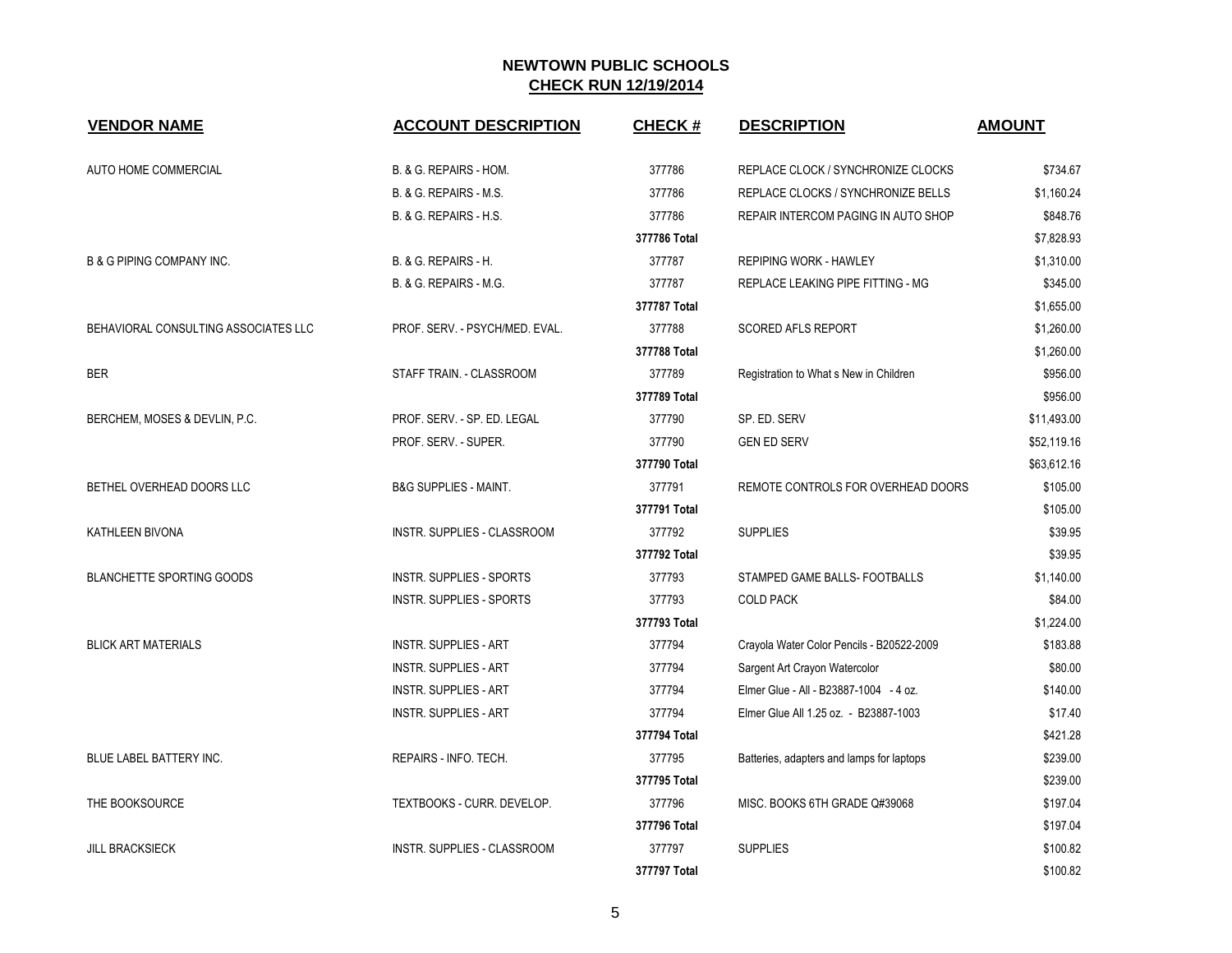| <b>VENDOR NAME</b>                   | <b>ACCOUNT DESCRIPTION</b>         | CHECK #      | <b>DESCRIPTION</b>                        | <b>AMOUNT</b> |
|--------------------------------------|------------------------------------|--------------|-------------------------------------------|---------------|
| AUTO HOME COMMERCIAL                 | B. & G. REPAIRS - HOM.             | 377786       | REPLACE CLOCK / SYNCHRONIZE CLOCKS        | \$734.67      |
|                                      | B. & G. REPAIRS - M.S.             | 377786       | REPLACE CLOCKS / SYNCHRONIZE BELLS        | \$1,160.24    |
|                                      | B. & G. REPAIRS - H.S.             | 377786       | REPAIR INTERCOM PAGING IN AUTO SHOP       | \$848.76      |
|                                      |                                    | 377786 Total |                                           | \$7,828.93    |
| <b>B &amp; G PIPING COMPANY INC.</b> | B. & G. REPAIRS - H.               | 377787       | <b>REPIPING WORK - HAWLEY</b>             | \$1,310.00    |
|                                      | B. & G. REPAIRS - M.G.             | 377787       | REPLACE LEAKING PIPE FITTING - MG         | \$345.00      |
|                                      |                                    | 377787 Total |                                           | \$1,655.00    |
| BEHAVIORAL CONSULTING ASSOCIATES LLC | PROF. SERV. - PSYCH/MED. EVAL.     | 377788       | <b>SCORED AFLS REPORT</b>                 | \$1,260.00    |
|                                      |                                    | 377788 Total |                                           | \$1,260.00    |
| <b>BER</b>                           | STAFF TRAIN. - CLASSROOM           | 377789       | Registration to What s New in Children    | \$956.00      |
|                                      |                                    | 377789 Total |                                           | \$956.00      |
| BERCHEM, MOSES & DEVLIN, P.C.        | PROF. SERV. - SP. ED. LEGAL        | 377790       | SP. ED. SERV                              | \$11,493.00   |
|                                      | PROF. SERV. - SUPER.               | 377790       | <b>GEN ED SERV</b>                        | \$52,119.16   |
|                                      |                                    | 377790 Total |                                           | \$63,612.16   |
| BETHEL OVERHEAD DOORS LLC            | <b>B&amp;G SUPPLIES - MAINT.</b>   | 377791       | REMOTE CONTROLS FOR OVERHEAD DOORS        | \$105.00      |
|                                      |                                    | 377791 Total |                                           | \$105.00      |
| KATHLEEN BIVONA                      | INSTR. SUPPLIES - CLASSROOM        | 377792       | <b>SUPPLIES</b>                           | \$39.95       |
|                                      |                                    | 377792 Total |                                           | \$39.95       |
| <b>BLANCHETTE SPORTING GOODS</b>     | <b>INSTR. SUPPLIES - SPORTS</b>    | 377793       | STAMPED GAME BALLS- FOOTBALLS             | \$1,140.00    |
|                                      | <b>INSTR. SUPPLIES - SPORTS</b>    | 377793       | <b>COLD PACK</b>                          | \$84.00       |
|                                      |                                    | 377793 Total |                                           | \$1,224.00    |
| <b>BLICK ART MATERIALS</b>           | <b>INSTR. SUPPLIES - ART</b>       | 377794       | Crayola Water Color Pencils - B20522-2009 | \$183.88      |
|                                      | <b>INSTR. SUPPLIES - ART</b>       | 377794       | Sargent Art Crayon Watercolor             | \$80.00       |
|                                      | <b>INSTR. SUPPLIES - ART</b>       | 377794       | Elmer Glue - All - B23887-1004 - 4 oz.    | \$140.00      |
|                                      | <b>INSTR. SUPPLIES - ART</b>       | 377794       | Elmer Glue All 1.25 oz. - B23887-1003     | \$17.40       |
|                                      |                                    | 377794 Total |                                           | \$421.28      |
| BLUE LABEL BATTERY INC.              | REPAIRS - INFO. TECH.              | 377795       | Batteries, adapters and lamps for laptops | \$239.00      |
|                                      |                                    | 377795 Total |                                           | \$239.00      |
| THE BOOKSOURCE                       | TEXTBOOKS - CURR. DEVELOP.         | 377796       | MISC. BOOKS 6TH GRADE Q#39068             | \$197.04      |
|                                      |                                    | 377796 Total |                                           | \$197.04      |
| <b>JILL BRACKSIECK</b>               | <b>INSTR. SUPPLIES - CLASSROOM</b> | 377797       | <b>SUPPLIES</b>                           | \$100.82      |
|                                      |                                    | 377797 Total |                                           | \$100.82      |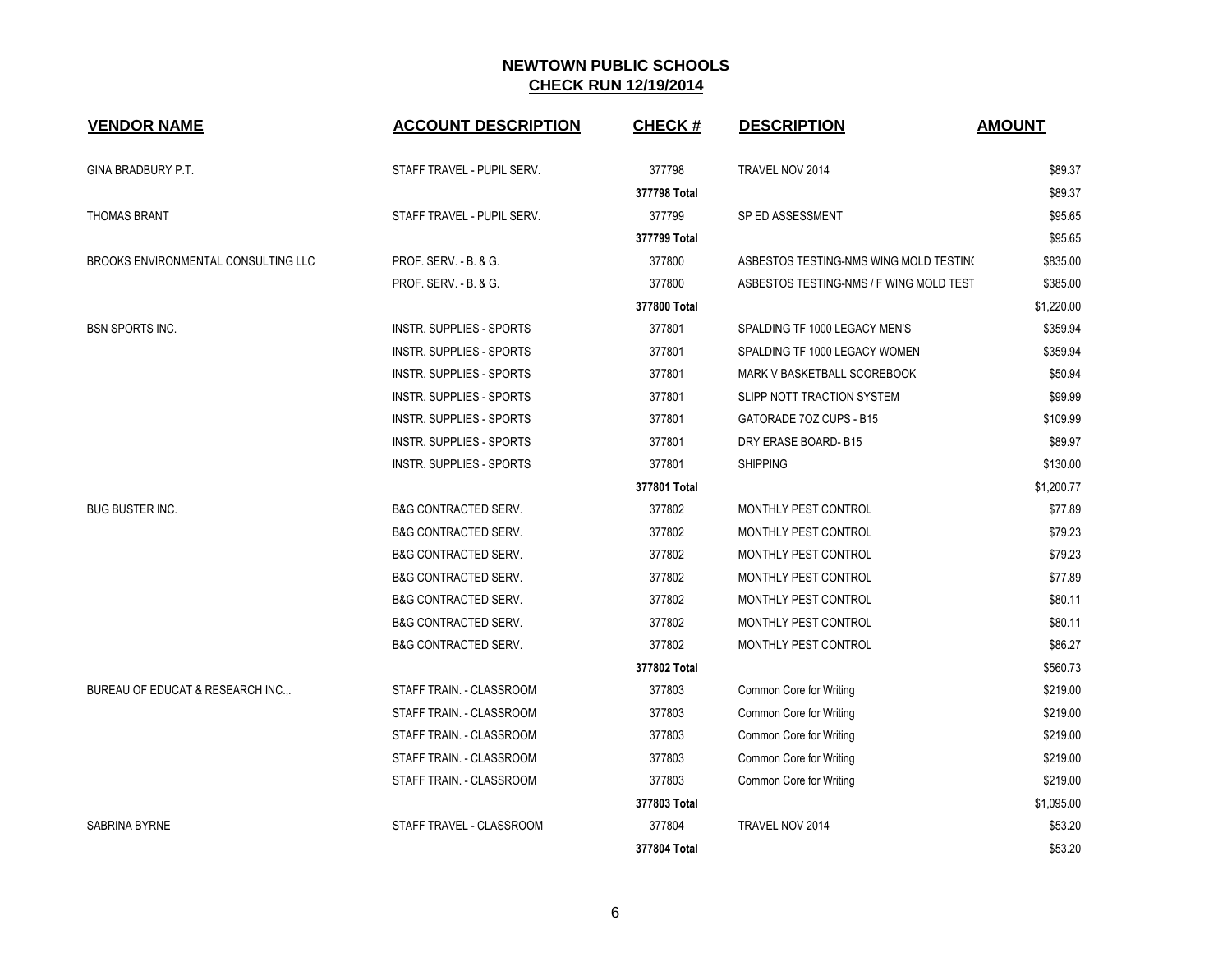| <b>VENDOR NAME</b>                  | <b>ACCOUNT DESCRIPTION</b>      | <b>CHECK#</b> | <b>DESCRIPTION</b>                      | <b>AMOUNT</b> |
|-------------------------------------|---------------------------------|---------------|-----------------------------------------|---------------|
| GINA BRADBURY P.T.                  | STAFF TRAVEL - PUPIL SERV.      | 377798        | TRAVEL NOV 2014                         | \$89.37       |
|                                     |                                 | 377798 Total  |                                         | \$89.37       |
| <b>THOMAS BRANT</b>                 | STAFF TRAVEL - PUPIL SERV.      | 377799        | SP ED ASSESSMENT                        | \$95.65       |
|                                     |                                 | 377799 Total  |                                         | \$95.65       |
| BROOKS ENVIRONMENTAL CONSULTING LLC | PROF. SERV. - B. & G.           | 377800        | ASBESTOS TESTING-NMS WING MOLD TESTING  | \$835.00      |
|                                     | PROF. SERV. - B. & G.           | 377800        | ASBESTOS TESTING-NMS / F WING MOLD TEST | \$385.00      |
|                                     |                                 | 377800 Total  |                                         | \$1,220.00    |
| <b>BSN SPORTS INC.</b>              | <b>INSTR. SUPPLIES - SPORTS</b> | 377801        | SPALDING TF 1000 LEGACY MEN'S           | \$359.94      |
|                                     | <b>INSTR. SUPPLIES - SPORTS</b> | 377801        | SPALDING TF 1000 LEGACY WOMEN           | \$359.94      |
|                                     | INSTR. SUPPLIES - SPORTS        | 377801        | MARK V BASKETBALL SCOREBOOK             | \$50.94       |
|                                     | <b>INSTR. SUPPLIES - SPORTS</b> | 377801        | SLIPP NOTT TRACTION SYSTEM              | \$99.99       |
|                                     | INSTR. SUPPLIES - SPORTS        | 377801        | GATORADE 70Z CUPS - B15                 | \$109.99      |
|                                     | <b>INSTR. SUPPLIES - SPORTS</b> | 377801        | DRY ERASE BOARD-B15                     | \$89.97       |
|                                     | <b>INSTR. SUPPLIES - SPORTS</b> | 377801        | <b>SHIPPING</b>                         | \$130.00      |
|                                     |                                 | 377801 Total  |                                         | \$1,200.77    |
| <b>BUG BUSTER INC.</b>              | <b>B&amp;G CONTRACTED SERV.</b> | 377802        | MONTHLY PEST CONTROL                    | \$77.89       |
|                                     | <b>B&amp;G CONTRACTED SERV.</b> | 377802        | MONTHLY PEST CONTROL                    | \$79.23       |
|                                     | <b>B&amp;G CONTRACTED SERV.</b> | 377802        | MONTHLY PEST CONTROL                    | \$79.23       |
|                                     | <b>B&amp;G CONTRACTED SERV.</b> | 377802        | MONTHLY PEST CONTROL                    | \$77.89       |
|                                     | <b>B&amp;G CONTRACTED SERV.</b> | 377802        | MONTHLY PEST CONTROL                    | \$80.11       |
|                                     | <b>B&amp;G CONTRACTED SERV.</b> | 377802        | MONTHLY PEST CONTROL                    | \$80.11       |
|                                     | <b>B&amp;G CONTRACTED SERV.</b> | 377802        | MONTHLY PEST CONTROL                    | \$86.27       |
|                                     |                                 | 377802 Total  |                                         | \$560.73      |
| BUREAU OF EDUCAT & RESEARCH INC     | STAFF TRAIN. - CLASSROOM        | 377803        | Common Core for Writing                 | \$219.00      |
|                                     | STAFF TRAIN. - CLASSROOM        | 377803        | Common Core for Writing                 | \$219.00      |
|                                     | STAFF TRAIN. - CLASSROOM        | 377803        | Common Core for Writing                 | \$219.00      |
|                                     | STAFF TRAIN. - CLASSROOM        | 377803        | Common Core for Writing                 | \$219.00      |
|                                     | STAFF TRAIN. - CLASSROOM        | 377803        | Common Core for Writing                 | \$219.00      |
|                                     |                                 | 377803 Total  |                                         | \$1,095.00    |
| <b>SABRINA BYRNE</b>                | STAFF TRAVEL - CLASSROOM        | 377804        | TRAVEL NOV 2014                         | \$53.20       |
|                                     |                                 | 377804 Total  |                                         | \$53.20       |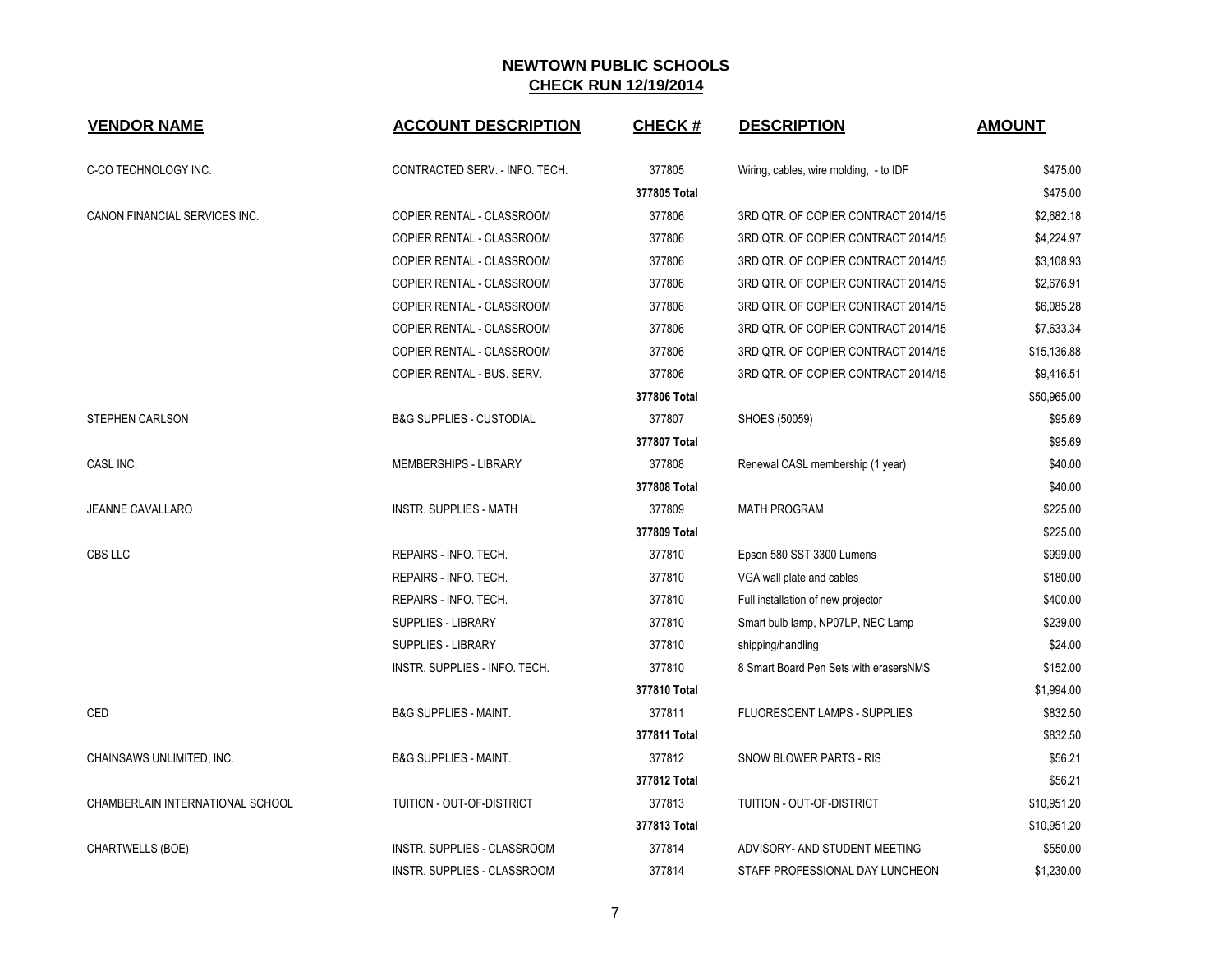| <b>VENDOR NAME</b>               | <b>ACCOUNT DESCRIPTION</b>          | <b>CHECK#</b> | <b>DESCRIPTION</b>                     | <b>AMOUNT</b> |
|----------------------------------|-------------------------------------|---------------|----------------------------------------|---------------|
| C-CO TECHNOLOGY INC.             | CONTRACTED SERV. - INFO. TECH.      | 377805        | Wiring, cables, wire molding, - to IDF | \$475.00      |
|                                  |                                     | 377805 Total  |                                        | \$475.00      |
| CANON FINANCIAL SERVICES INC.    | COPIER RENTAL - CLASSROOM           | 377806        | 3RD QTR. OF COPIER CONTRACT 2014/15    | \$2,682.18    |
|                                  | COPIER RENTAL - CLASSROOM           | 377806        | 3RD QTR. OF COPIER CONTRACT 2014/15    | \$4,224.97    |
|                                  | COPIER RENTAL - CLASSROOM           | 377806        | 3RD QTR. OF COPIER CONTRACT 2014/15    | \$3,108.93    |
|                                  | COPIER RENTAL - CLASSROOM           | 377806        | 3RD QTR. OF COPIER CONTRACT 2014/15    | \$2,676.91    |
|                                  | COPIER RENTAL - CLASSROOM           | 377806        | 3RD QTR. OF COPIER CONTRACT 2014/15    | \$6,085.28    |
|                                  | COPIER RENTAL - CLASSROOM           | 377806        | 3RD QTR. OF COPIER CONTRACT 2014/15    | \$7,633.34    |
|                                  | COPIER RENTAL - CLASSROOM           | 377806        | 3RD QTR. OF COPIER CONTRACT 2014/15    | \$15,136.88   |
|                                  | COPIER RENTAL - BUS. SERV.          | 377806        | 3RD QTR. OF COPIER CONTRACT 2014/15    | \$9,416.51    |
|                                  |                                     | 377806 Total  |                                        | \$50,965.00   |
| <b>STEPHEN CARLSON</b>           | <b>B&amp;G SUPPLIES - CUSTODIAL</b> | 377807        | SHOES (50059)                          | \$95.69       |
|                                  |                                     | 377807 Total  |                                        | \$95.69       |
| CASL INC.                        | MEMBERSHIPS - LIBRARY               | 377808        | Renewal CASL membership (1 year)       | \$40.00       |
|                                  |                                     | 377808 Total  |                                        | \$40.00       |
| <b>JEANNE CAVALLARO</b>          | <b>INSTR. SUPPLIES - MATH</b>       | 377809        | <b>MATH PROGRAM</b>                    | \$225.00      |
|                                  |                                     | 377809 Total  |                                        | \$225.00      |
| CBS LLC                          | REPAIRS - INFO. TECH.               | 377810        | Epson 580 SST 3300 Lumens              | \$999.00      |
|                                  | REPAIRS - INFO. TECH.               | 377810        | VGA wall plate and cables              | \$180.00      |
|                                  | REPAIRS - INFO. TECH.               | 377810        | Full installation of new projector     | \$400.00      |
|                                  | <b>SUPPLIES - LIBRARY</b>           | 377810        | Smart bulb lamp, NP07LP, NEC Lamp      | \$239.00      |
|                                  | SUPPLIES - LIBRARY                  | 377810        | shipping/handling                      | \$24.00       |
|                                  | INSTR. SUPPLIES - INFO. TECH.       | 377810        | 8 Smart Board Pen Sets with erasersNMS | \$152.00      |
|                                  |                                     | 377810 Total  |                                        | \$1,994.00    |
| CED                              | <b>B&amp;G SUPPLIES - MAINT.</b>    | 377811        | FLUORESCENT LAMPS - SUPPLIES           | \$832.50      |
|                                  |                                     | 377811 Total  |                                        | \$832.50      |
| CHAINSAWS UNLIMITED, INC.        | <b>B&amp;G SUPPLIES - MAINT.</b>    | 377812        | SNOW BLOWER PARTS - RIS                | \$56.21       |
|                                  |                                     | 377812 Total  |                                        | \$56.21       |
| CHAMBERLAIN INTERNATIONAL SCHOOL | TUITION - OUT-OF-DISTRICT           | 377813        | TUITION - OUT-OF-DISTRICT              | \$10,951.20   |
|                                  |                                     | 377813 Total  |                                        | \$10,951.20   |
| CHARTWELLS (BOE)                 | INSTR. SUPPLIES - CLASSROOM         | 377814        | ADVISORY- AND STUDENT MEETING          | \$550.00      |
|                                  | <b>INSTR. SUPPLIES - CLASSROOM</b>  | 377814        | STAFF PROFESSIONAL DAY LUNCHEON        | \$1,230.00    |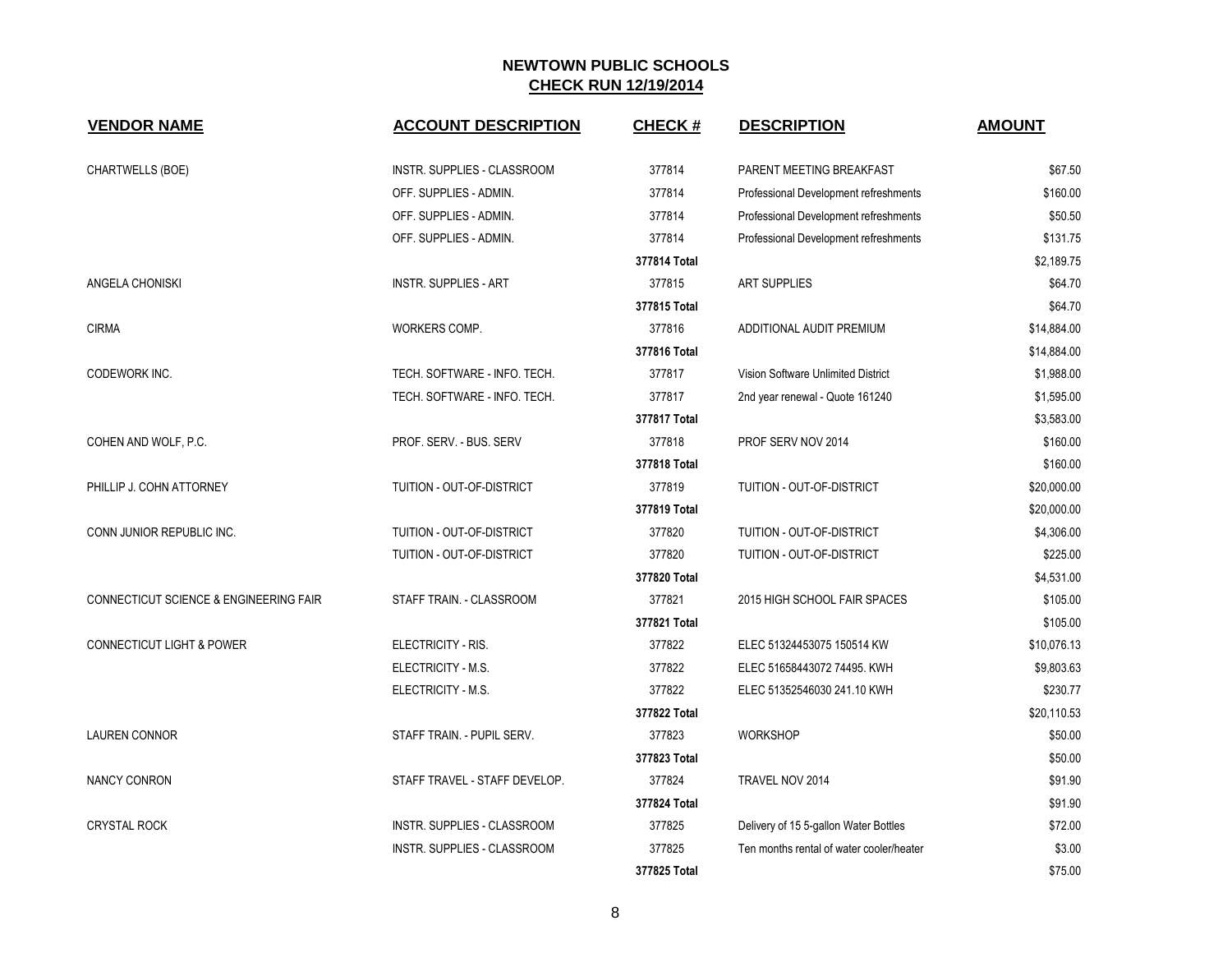| <b>VENDOR NAME</b>                                | <b>ACCOUNT DESCRIPTION</b>         | <b>CHECK#</b> | <b>DESCRIPTION</b>                       | <b>AMOUNT</b> |
|---------------------------------------------------|------------------------------------|---------------|------------------------------------------|---------------|
| CHARTWELLS (BOE)                                  | <b>INSTR. SUPPLIES - CLASSROOM</b> | 377814        | PARENT MEETING BREAKFAST                 | \$67.50       |
|                                                   | OFF. SUPPLIES - ADMIN.             | 377814        | Professional Development refreshments    | \$160.00      |
|                                                   | OFF. SUPPLIES - ADMIN.             | 377814        | Professional Development refreshments    | \$50.50       |
|                                                   | OFF. SUPPLIES - ADMIN.             | 377814        | Professional Development refreshments    | \$131.75      |
|                                                   |                                    | 377814 Total  |                                          | \$2,189.75    |
| ANGELA CHONISKI                                   | <b>INSTR. SUPPLIES - ART</b>       | 377815        | <b>ART SUPPLIES</b>                      | \$64.70       |
|                                                   |                                    | 377815 Total  |                                          | \$64.70       |
| <b>CIRMA</b>                                      | WORKERS COMP.                      | 377816        | ADDITIONAL AUDIT PREMIUM                 | \$14,884.00   |
|                                                   |                                    | 377816 Total  |                                          | \$14,884.00   |
| CODEWORK INC.                                     | TECH. SOFTWARE - INFO. TECH.       | 377817        | Vision Software Unlimited District       | \$1,988.00    |
|                                                   | TECH. SOFTWARE - INFO. TECH.       | 377817        | 2nd year renewal - Quote 161240          | \$1,595.00    |
|                                                   |                                    | 377817 Total  |                                          | \$3,583.00    |
| COHEN AND WOLF, P.C.                              | PROF. SERV. - BUS. SERV            | 377818        | PROF SERV NOV 2014                       | \$160.00      |
|                                                   |                                    | 377818 Total  |                                          | \$160.00      |
| PHILLIP J. COHN ATTORNEY                          | TUITION - OUT-OF-DISTRICT          | 377819        | TUITION - OUT-OF-DISTRICT                | \$20,000.00   |
|                                                   |                                    | 377819 Total  |                                          | \$20,000.00   |
| CONN JUNIOR REPUBLIC INC.                         | TUITION - OUT-OF-DISTRICT          | 377820        | TUITION - OUT-OF-DISTRICT                | \$4,306.00    |
|                                                   | TUITION - OUT-OF-DISTRICT          | 377820        | TUITION - OUT-OF-DISTRICT                | \$225.00      |
|                                                   |                                    | 377820 Total  |                                          | \$4,531.00    |
| <b>CONNECTICUT SCIENCE &amp; ENGINEERING FAIR</b> | STAFF TRAIN. - CLASSROOM           | 377821        | 2015 HIGH SCHOOL FAIR SPACES             | \$105.00      |
|                                                   |                                    | 377821 Total  |                                          | \$105.00      |
| <b>CONNECTICUT LIGHT &amp; POWER</b>              | ELECTRICITY - RIS.                 | 377822        | ELEC 51324453075 150514 KW               | \$10,076.13   |
|                                                   | ELECTRICITY - M.S.                 | 377822        | ELEC 51658443072 74495. KWH              | \$9,803.63    |
|                                                   | ELECTRICITY - M.S.                 | 377822        | ELEC 51352546030 241.10 KWH              | \$230.77      |
|                                                   |                                    | 377822 Total  |                                          | \$20,110.53   |
| <b>LAUREN CONNOR</b>                              | STAFF TRAIN. - PUPIL SERV.         | 377823        | <b>WORKSHOP</b>                          | \$50.00       |
|                                                   |                                    | 377823 Total  |                                          | \$50.00       |
| NANCY CONRON                                      | STAFF TRAVEL - STAFF DEVELOP.      | 377824        | TRAVEL NOV 2014                          | \$91.90       |
|                                                   |                                    | 377824 Total  |                                          | \$91.90       |
| CRYSTAL ROCK                                      | INSTR. SUPPLIES - CLASSROOM        | 377825        | Delivery of 15 5-gallon Water Bottles    | \$72.00       |
|                                                   | <b>INSTR. SUPPLIES - CLASSROOM</b> | 377825        | Ten months rental of water cooler/heater | \$3.00        |
|                                                   |                                    | 377825 Total  |                                          | \$75.00       |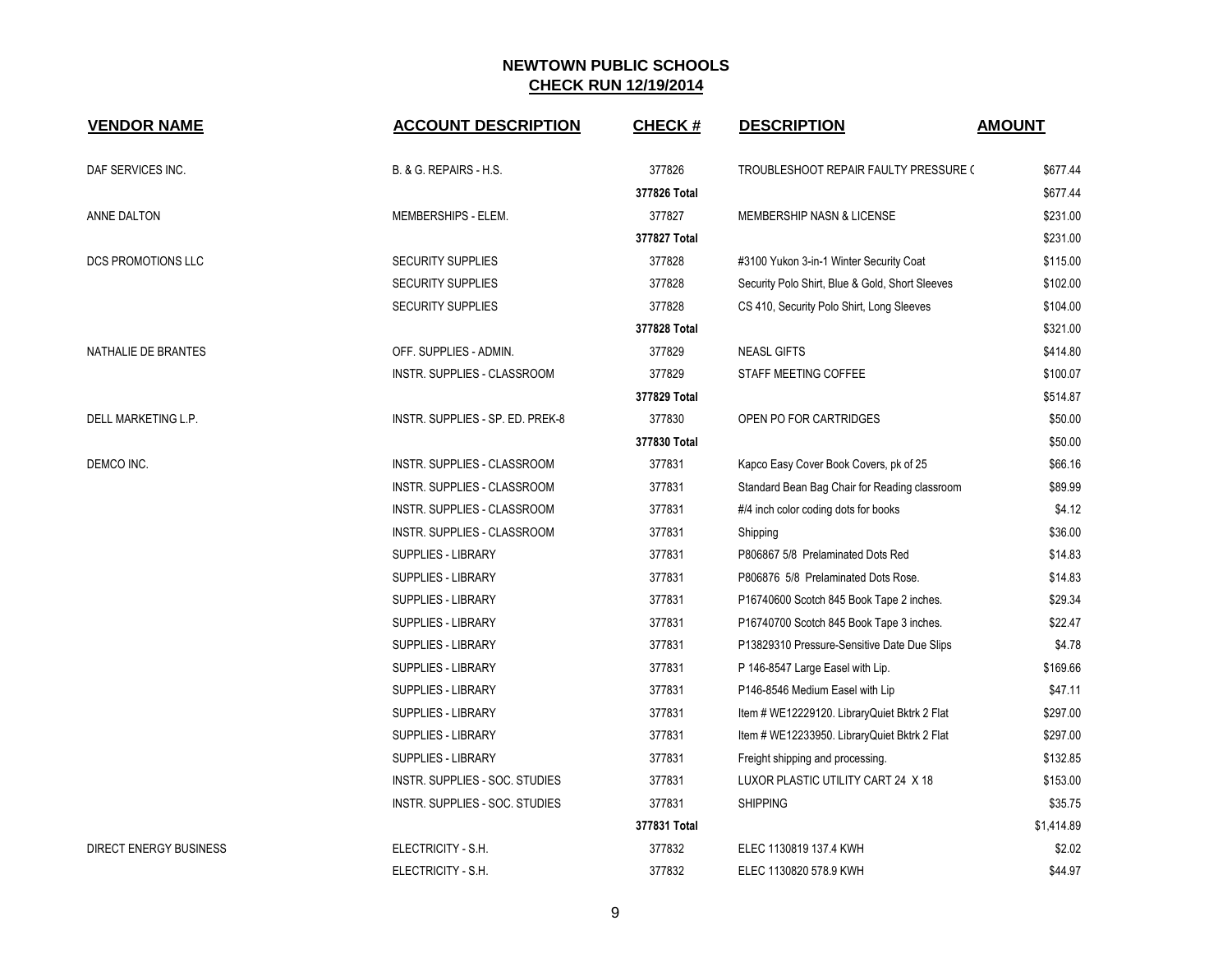| <b>VENDOR NAME</b>            | <b>ACCOUNT DESCRIPTION</b>       | <b>CHECK#</b> | <b>DESCRIPTION</b>                              | <b>AMOUNT</b> |
|-------------------------------|----------------------------------|---------------|-------------------------------------------------|---------------|
| DAF SERVICES INC.             | B. & G. REPAIRS - H.S.           | 377826        | TROUBLESHOOT REPAIR FAULTY PRESSURE (           | \$677.44      |
|                               |                                  | 377826 Total  |                                                 | \$677.44      |
| ANNE DALTON                   | MEMBERSHIPS - ELEM.              | 377827        | MEMBERSHIP NASN & LICENSE                       | \$231.00      |
|                               |                                  | 377827 Total  |                                                 | \$231.00      |
| DCS PROMOTIONS LLC            | <b>SECURITY SUPPLIES</b>         | 377828        | #3100 Yukon 3-in-1 Winter Security Coat         | \$115.00      |
|                               | <b>SECURITY SUPPLIES</b>         | 377828        | Security Polo Shirt, Blue & Gold, Short Sleeves | \$102.00      |
|                               | <b>SECURITY SUPPLIES</b>         | 377828        | CS 410, Security Polo Shirt, Long Sleeves       | \$104.00      |
|                               |                                  | 377828 Total  |                                                 | \$321.00      |
| NATHALIE DE BRANTES           | OFF. SUPPLIES - ADMIN.           | 377829        | <b>NEASL GIFTS</b>                              | \$414.80      |
|                               | INSTR. SUPPLIES - CLASSROOM      | 377829        | STAFF MEETING COFFEE                            | \$100.07      |
|                               |                                  | 377829 Total  |                                                 | \$514.87      |
| DELL MARKETING L.P.           | INSTR. SUPPLIES - SP. ED. PREK-8 | 377830        | OPEN PO FOR CARTRIDGES                          | \$50.00       |
|                               |                                  | 377830 Total  |                                                 | \$50.00       |
| DEMCO INC.                    | INSTR. SUPPLIES - CLASSROOM      | 377831        | Kapco Easy Cover Book Covers, pk of 25          | \$66.16       |
|                               | INSTR. SUPPLIES - CLASSROOM      | 377831        | Standard Bean Bag Chair for Reading classroom   | \$89.99       |
|                               | INSTR. SUPPLIES - CLASSROOM      | 377831        | #/4 inch color coding dots for books            | \$4.12        |
|                               | INSTR. SUPPLIES - CLASSROOM      | 377831        | Shipping                                        | \$36.00       |
|                               | SUPPLIES - LIBRARY               | 377831        | P806867 5/8 Prelaminated Dots Red               | \$14.83       |
|                               | SUPPLIES - LIBRARY               | 377831        | P806876 5/8 Prelaminated Dots Rose.             | \$14.83       |
|                               | SUPPLIES - LIBRARY               | 377831        | P16740600 Scotch 845 Book Tape 2 inches.        | \$29.34       |
|                               | SUPPLIES - LIBRARY               | 377831        | P16740700 Scotch 845 Book Tape 3 inches.        | \$22.47       |
|                               | SUPPLIES - LIBRARY               | 377831        | P13829310 Pressure-Sensitive Date Due Slips     | \$4.78        |
|                               | SUPPLIES - LIBRARY               | 377831        | P 146-8547 Large Easel with Lip.                | \$169.66      |
|                               | <b>SUPPLIES - LIBRARY</b>        | 377831        | P146-8546 Medium Easel with Lip                 | \$47.11       |
|                               | SUPPLIES - LIBRARY               | 377831        | Item # WE12229120. LibraryQuiet Bktrk 2 Flat    | \$297.00      |
|                               | SUPPLIES - LIBRARY               | 377831        | Item # WE12233950. LibraryQuiet Bktrk 2 Flat    | \$297.00      |
|                               | SUPPLIES - LIBRARY               | 377831        | Freight shipping and processing.                | \$132.85      |
|                               | INSTR. SUPPLIES - SOC. STUDIES   | 377831        | LUXOR PLASTIC UTILITY CART 24 X 18              | \$153.00      |
|                               | INSTR. SUPPLIES - SOC. STUDIES   | 377831        | <b>SHIPPING</b>                                 | \$35.75       |
|                               |                                  | 377831 Total  |                                                 | \$1,414.89    |
| <b>DIRECT ENERGY BUSINESS</b> | ELECTRICITY - S.H.               | 377832        | ELEC 1130819 137.4 KWH                          | \$2.02        |
|                               | ELECTRICITY - S.H.               | 377832        | ELEC 1130820 578.9 KWH                          | \$44.97       |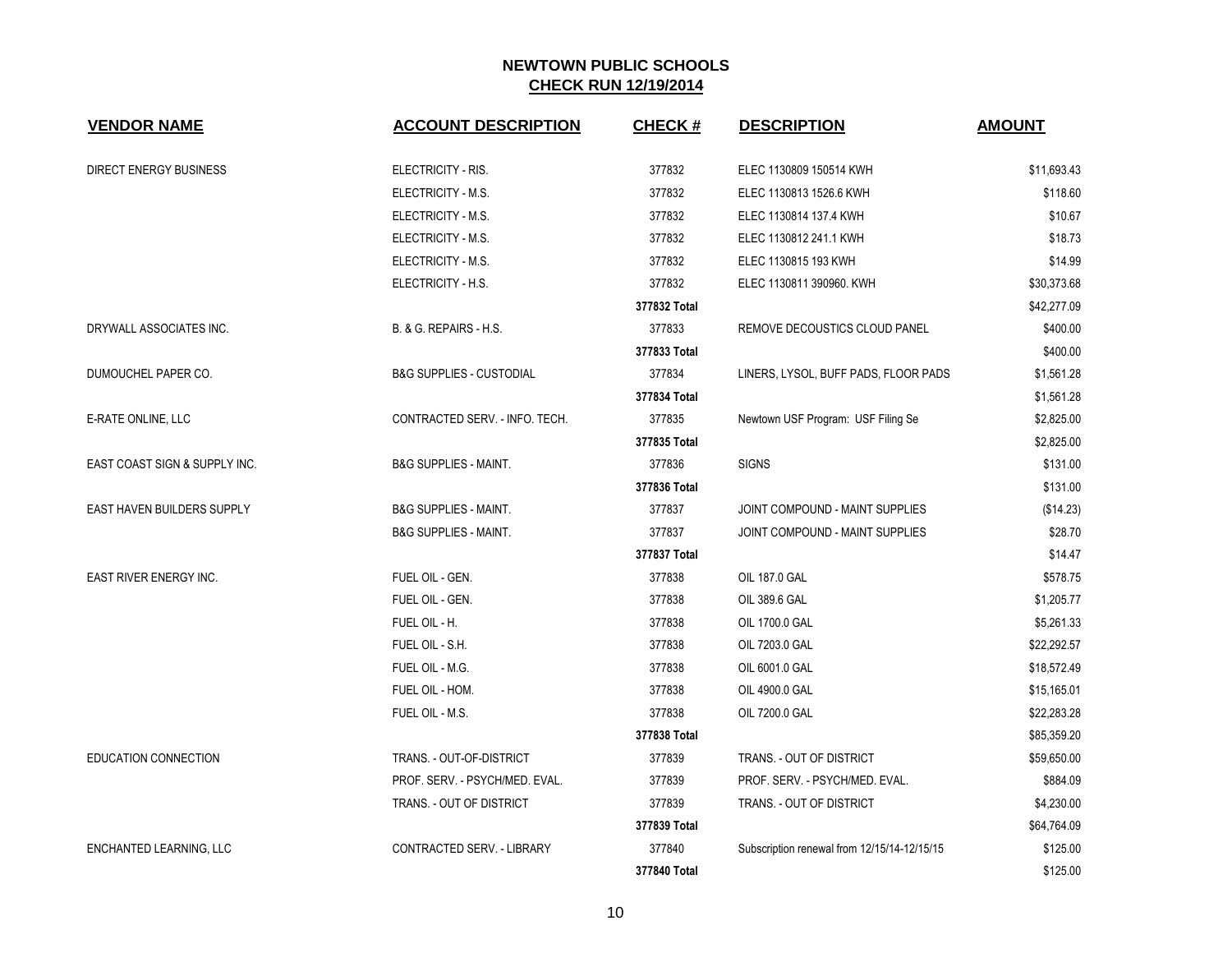| <b>VENDOR NAME</b>            | <b>ACCOUNT DESCRIPTION</b>          | <b>CHECK#</b> | <b>DESCRIPTION</b>                          | <b>AMOUNT</b> |
|-------------------------------|-------------------------------------|---------------|---------------------------------------------|---------------|
| <b>DIRECT ENERGY BUSINESS</b> | ELECTRICITY - RIS.                  | 377832        | ELEC 1130809 150514 KWH                     | \$11,693.43   |
|                               | ELECTRICITY - M.S.                  | 377832        | ELEC 1130813 1526.6 KWH                     | \$118.60      |
|                               | ELECTRICITY - M.S.                  | 377832        | ELEC 1130814 137.4 KWH                      | \$10.67       |
|                               | ELECTRICITY - M.S.                  | 377832        | ELEC 1130812 241.1 KWH                      | \$18.73       |
|                               | ELECTRICITY - M.S.                  | 377832        | ELEC 1130815 193 KWH                        | \$14.99       |
|                               | ELECTRICITY - H.S.                  | 377832        | ELEC 1130811 390960. KWH                    | \$30,373.68   |
|                               |                                     | 377832 Total  |                                             | \$42,277.09   |
| DRYWALL ASSOCIATES INC.       | B. & G. REPAIRS - H.S.              | 377833        | REMOVE DECOUSTICS CLOUD PANEL               | \$400.00      |
|                               |                                     | 377833 Total  |                                             | \$400.00      |
| DUMOUCHEL PAPER CO.           | <b>B&amp;G SUPPLIES - CUSTODIAL</b> | 377834        | LINERS, LYSOL, BUFF PADS, FLOOR PADS        | \$1,561.28    |
|                               |                                     | 377834 Total  |                                             | \$1,561.28    |
| E-RATE ONLINE, LLC            | CONTRACTED SERV. - INFO. TECH.      | 377835        | Newtown USF Program: USF Filing Se          | \$2,825.00    |
|                               |                                     | 377835 Total  |                                             | \$2,825.00    |
| EAST COAST SIGN & SUPPLY INC. | <b>B&amp;G SUPPLIES - MAINT.</b>    | 377836        | <b>SIGNS</b>                                | \$131.00      |
|                               |                                     | 377836 Total  |                                             | \$131.00      |
| EAST HAVEN BUILDERS SUPPLY    | <b>B&amp;G SUPPLIES - MAINT.</b>    | 377837        | JOINT COMPOUND - MAINT SUPPLIES             | (\$14.23)     |
|                               | <b>B&amp;G SUPPLIES - MAINT.</b>    | 377837        | JOINT COMPOUND - MAINT SUPPLIES             | \$28.70       |
|                               |                                     | 377837 Total  |                                             | \$14.47       |
| EAST RIVER ENERGY INC.        | FUEL OIL - GEN.                     | 377838        | OIL 187.0 GAL                               | \$578.75      |
|                               | FUEL OIL - GEN.                     | 377838        | OIL 389.6 GAL                               | \$1,205.77    |
|                               | FUEL OIL - H.                       | 377838        | OIL 1700.0 GAL                              | \$5,261.33    |
|                               | FUEL OIL - S.H.                     | 377838        | OIL 7203.0 GAL                              | \$22,292.57   |
|                               | FUEL OIL - M.G.                     | 377838        | OIL 6001.0 GAL                              | \$18,572.49   |
|                               | FUEL OIL - HOM.                     | 377838        | OIL 4900.0 GAL                              | \$15,165.01   |
|                               | FUEL OIL - M.S.                     | 377838        | OIL 7200.0 GAL                              | \$22,283.28   |
|                               |                                     | 377838 Total  |                                             | \$85,359.20   |
| <b>EDUCATION CONNECTION</b>   | TRANS. - OUT-OF-DISTRICT            | 377839        | TRANS. - OUT OF DISTRICT                    | \$59,650.00   |
|                               | PROF. SERV. - PSYCH/MED. EVAL.      | 377839        | PROF. SERV. - PSYCH/MED. EVAL.              | \$884.09      |
|                               | TRANS. - OUT OF DISTRICT            | 377839        | TRANS. - OUT OF DISTRICT                    | \$4,230.00    |
|                               |                                     | 377839 Total  |                                             | \$64,764.09   |
| ENCHANTED LEARNING, LLC       | CONTRACTED SERV. - LIBRARY          | 377840        | Subscription renewal from 12/15/14-12/15/15 | \$125.00      |
|                               |                                     | 377840 Total  |                                             | \$125.00      |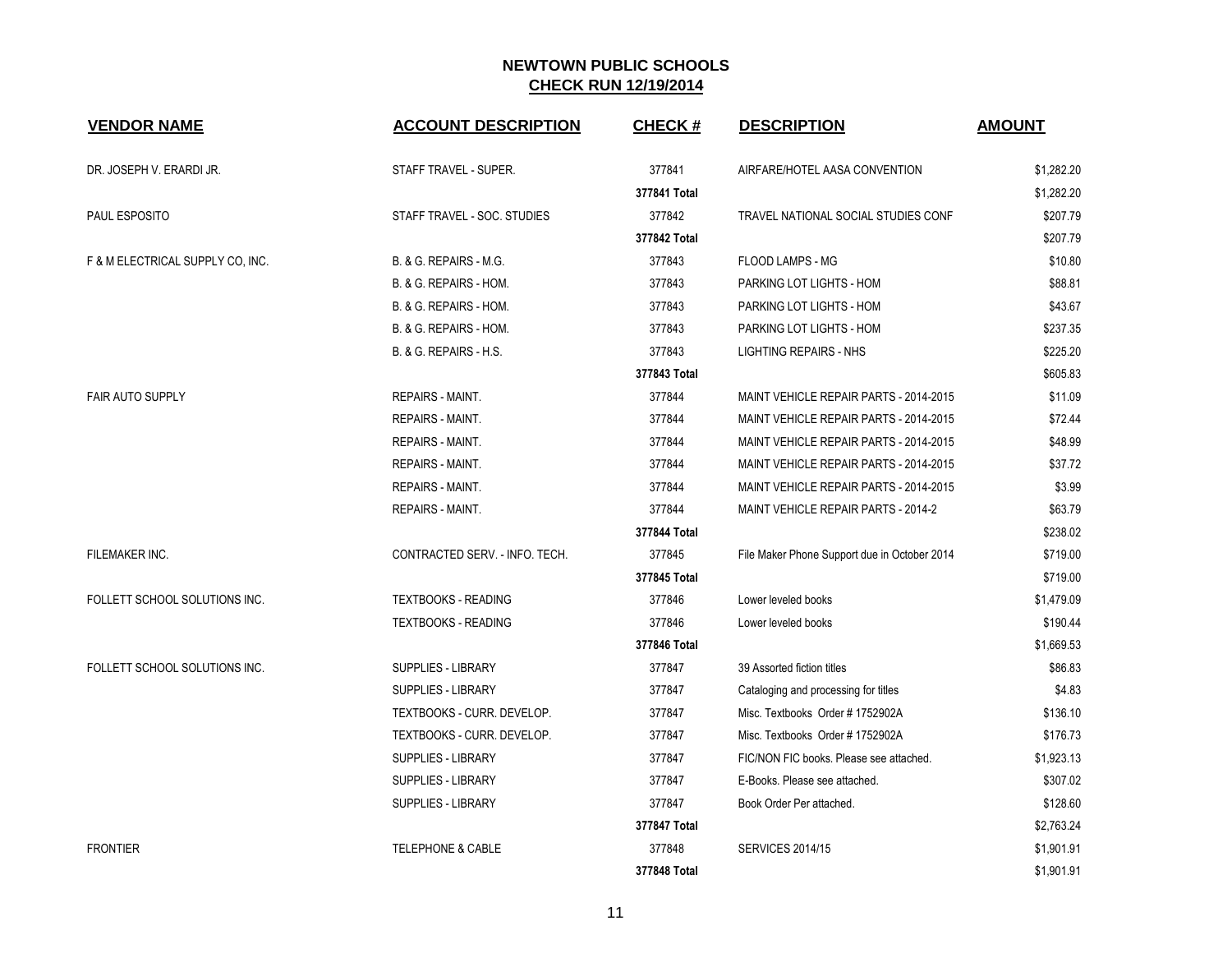| <b>VENDOR NAME</b>               | <b>ACCOUNT DESCRIPTION</b>     | <b>CHECK#</b> | <b>DESCRIPTION</b>                           | <b>AMOUNT</b> |
|----------------------------------|--------------------------------|---------------|----------------------------------------------|---------------|
| DR. JOSEPH V. ERARDI JR.         | STAFF TRAVEL - SUPER.          | 377841        | AIRFARE/HOTEL AASA CONVENTION                | \$1,282.20    |
|                                  |                                | 377841 Total  |                                              | \$1,282.20    |
| PAUL ESPOSITO                    | STAFF TRAVEL - SOC. STUDIES    | 377842        | TRAVEL NATIONAL SOCIAL STUDIES CONF          | \$207.79      |
|                                  |                                | 377842 Total  |                                              | \$207.79      |
| F & M ELECTRICAL SUPPLY CO, INC. | B. & G. REPAIRS - M.G.         | 377843        | <b>FLOOD LAMPS - MG</b>                      | \$10.80       |
|                                  | B. & G. REPAIRS - HOM.         | 377843        | PARKING LOT LIGHTS - HOM                     | \$88.81       |
|                                  | B. & G. REPAIRS - HOM.         | 377843        | PARKING LOT LIGHTS - HOM                     | \$43.67       |
|                                  | B. & G. REPAIRS - HOM.         | 377843        | PARKING LOT LIGHTS - HOM                     | \$237.35      |
|                                  | B. & G. REPAIRS - H.S.         | 377843        | <b>LIGHTING REPAIRS - NHS</b>                | \$225.20      |
|                                  |                                | 377843 Total  |                                              | \$605.83      |
| <b>FAIR AUTO SUPPLY</b>          | <b>REPAIRS - MAINT.</b>        | 377844        | MAINT VEHICLE REPAIR PARTS - 2014-2015       | \$11.09       |
|                                  | <b>REPAIRS - MAINT.</b>        | 377844        | MAINT VEHICLE REPAIR PARTS - 2014-2015       | \$72.44       |
|                                  | <b>REPAIRS - MAINT.</b>        | 377844        | MAINT VEHICLE REPAIR PARTS - 2014-2015       | \$48.99       |
|                                  | <b>REPAIRS - MAINT.</b>        | 377844        | MAINT VEHICLE REPAIR PARTS - 2014-2015       | \$37.72       |
|                                  | <b>REPAIRS - MAINT.</b>        | 377844        | MAINT VEHICLE REPAIR PARTS - 2014-2015       | \$3.99        |
|                                  | REPAIRS - MAINT.               | 377844        | MAINT VEHICLE REPAIR PARTS - 2014-2          | \$63.79       |
|                                  |                                | 377844 Total  |                                              | \$238.02      |
| FILEMAKER INC.                   | CONTRACTED SERV. - INFO. TECH. | 377845        | File Maker Phone Support due in October 2014 | \$719.00      |
|                                  |                                | 377845 Total  |                                              | \$719.00      |
| FOLLETT SCHOOL SOLUTIONS INC.    | <b>TEXTBOOKS - READING</b>     | 377846        | Lower leveled books                          | \$1,479.09    |
|                                  | <b>TEXTBOOKS - READING</b>     | 377846        | Lower leveled books                          | \$190.44      |
|                                  |                                | 377846 Total  |                                              | \$1,669.53    |
| FOLLETT SCHOOL SOLUTIONS INC.    | SUPPLIES - LIBRARY             | 377847        | 39 Assorted fiction titles                   | \$86.83       |
|                                  | <b>SUPPLIES - LIBRARY</b>      | 377847        | Cataloging and processing for titles         | \$4.83        |
|                                  | TEXTBOOKS - CURR. DEVELOP.     | 377847        | Misc. Textbooks Order #1752902A              | \$136.10      |
|                                  | TEXTBOOKS - CURR. DEVELOP.     | 377847        | Misc. Textbooks Order #1752902A              | \$176.73      |
|                                  | SUPPLIES - LIBRARY             | 377847        | FIC/NON FIC books. Please see attached.      | \$1,923.13    |
|                                  | <b>SUPPLIES - LIBRARY</b>      | 377847        | E-Books. Please see attached.                | \$307.02      |
|                                  | <b>SUPPLIES - LIBRARY</b>      | 377847        | Book Order Per attached.                     | \$128.60      |
|                                  |                                | 377847 Total  |                                              | \$2,763.24    |
| <b>FRONTIER</b>                  | <b>TELEPHONE &amp; CABLE</b>   | 377848        | <b>SERVICES 2014/15</b>                      | \$1,901.91    |
|                                  |                                | 377848 Total  |                                              | \$1,901.91    |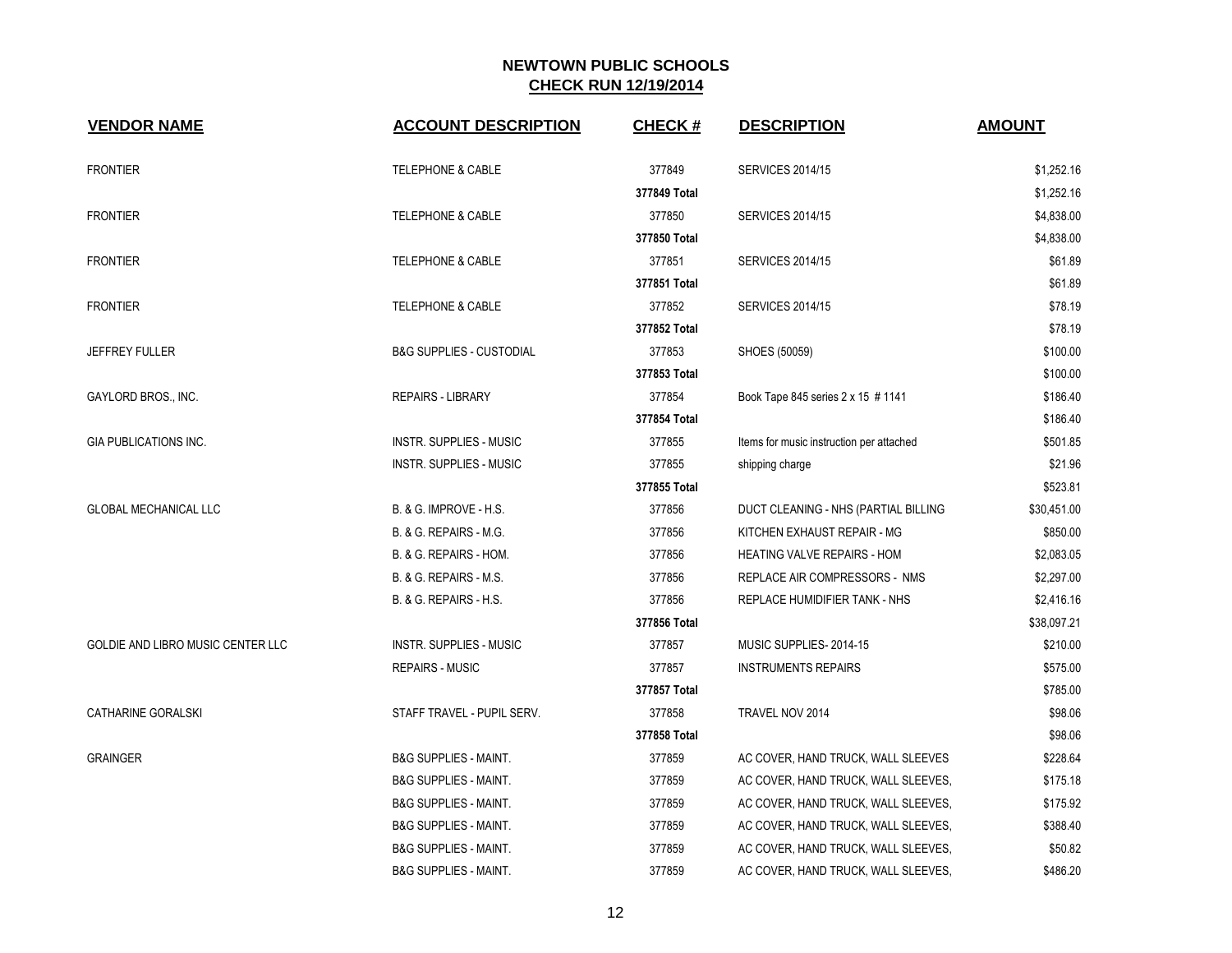| <b>VENDOR NAME</b>                | <b>ACCOUNT DESCRIPTION</b>          | <b>CHECK#</b> | <b>DESCRIPTION</b>                       | <b>AMOUNT</b> |
|-----------------------------------|-------------------------------------|---------------|------------------------------------------|---------------|
| <b>FRONTIER</b>                   | <b>TELEPHONE &amp; CABLE</b>        | 377849        | <b>SERVICES 2014/15</b>                  | \$1,252.16    |
|                                   |                                     | 377849 Total  |                                          | \$1,252.16    |
| <b>FRONTIER</b>                   | <b>TELEPHONE &amp; CABLE</b>        | 377850        | <b>SERVICES 2014/15</b>                  | \$4,838.00    |
|                                   |                                     | 377850 Total  |                                          | \$4,838.00    |
| <b>FRONTIER</b>                   | <b>TELEPHONE &amp; CABLE</b>        | 377851        | <b>SERVICES 2014/15</b>                  | \$61.89       |
|                                   |                                     | 377851 Total  |                                          | \$61.89       |
| <b>FRONTIER</b>                   | <b>TELEPHONE &amp; CABLE</b>        | 377852        | <b>SERVICES 2014/15</b>                  | \$78.19       |
|                                   |                                     | 377852 Total  |                                          | \$78.19       |
| <b>JEFFREY FULLER</b>             | <b>B&amp;G SUPPLIES - CUSTODIAL</b> | 377853        | SHOES (50059)                            | \$100.00      |
|                                   |                                     | 377853 Total  |                                          | \$100.00      |
| GAYLORD BROS., INC.               | <b>REPAIRS - LIBRARY</b>            | 377854        | Book Tape 845 series 2 x 15 # 1141       | \$186.40      |
|                                   |                                     | 377854 Total  |                                          | \$186.40      |
| <b>GIA PUBLICATIONS INC.</b>      | INSTR. SUPPLIES - MUSIC             | 377855        | Items for music instruction per attached | \$501.85      |
|                                   | <b>INSTR. SUPPLIES - MUSIC</b>      | 377855        | shipping charge                          | \$21.96       |
|                                   |                                     | 377855 Total  |                                          | \$523.81      |
| <b>GLOBAL MECHANICAL LLC</b>      | B. & G. IMPROVE - H.S.              | 377856        | DUCT CLEANING - NHS (PARTIAL BILLING     | \$30,451.00   |
|                                   | B. & G. REPAIRS - M.G.              | 377856        | KITCHEN EXHAUST REPAIR - MG              | \$850.00      |
|                                   | B. & G. REPAIRS - HOM.              | 377856        | <b>HEATING VALVE REPAIRS - HOM</b>       | \$2,083.05    |
|                                   | B. & G. REPAIRS - M.S.              | 377856        | REPLACE AIR COMPRESSORS - NMS            | \$2,297.00    |
|                                   | B. & G. REPAIRS - H.S.              | 377856        | REPLACE HUMIDIFIER TANK - NHS            | \$2,416.16    |
|                                   |                                     | 377856 Total  |                                          | \$38,097.21   |
| GOLDIE AND LIBRO MUSIC CENTER LLC | <b>INSTR. SUPPLIES - MUSIC</b>      | 377857        | MUSIC SUPPLIES-2014-15                   | \$210.00      |
|                                   | <b>REPAIRS - MUSIC</b>              | 377857        | <b>INSTRUMENTS REPAIRS</b>               | \$575.00      |
|                                   |                                     | 377857 Total  |                                          | \$785.00      |
| <b>CATHARINE GORALSKI</b>         | STAFF TRAVEL - PUPIL SERV.          | 377858        | TRAVEL NOV 2014                          | \$98.06       |
|                                   |                                     | 377858 Total  |                                          | \$98.06       |
| <b>GRAINGER</b>                   | <b>B&amp;G SUPPLIES - MAINT.</b>    | 377859        | AC COVER, HAND TRUCK, WALL SLEEVES       | \$228.64      |
|                                   | <b>B&amp;G SUPPLIES - MAINT.</b>    | 377859        | AC COVER, HAND TRUCK, WALL SLEEVES,      | \$175.18      |
|                                   | <b>B&amp;G SUPPLIES - MAINT.</b>    | 377859        | AC COVER, HAND TRUCK, WALL SLEEVES,      | \$175.92      |
|                                   | <b>B&amp;G SUPPLIES - MAINT.</b>    | 377859        | AC COVER, HAND TRUCK, WALL SLEEVES,      | \$388.40      |
|                                   | <b>B&amp;G SUPPLIES - MAINT.</b>    | 377859        | AC COVER, HAND TRUCK, WALL SLEEVES,      | \$50.82       |
|                                   | <b>B&amp;G SUPPLIES - MAINT.</b>    | 377859        | AC COVER, HAND TRUCK, WALL SLEEVES,      | \$486.20      |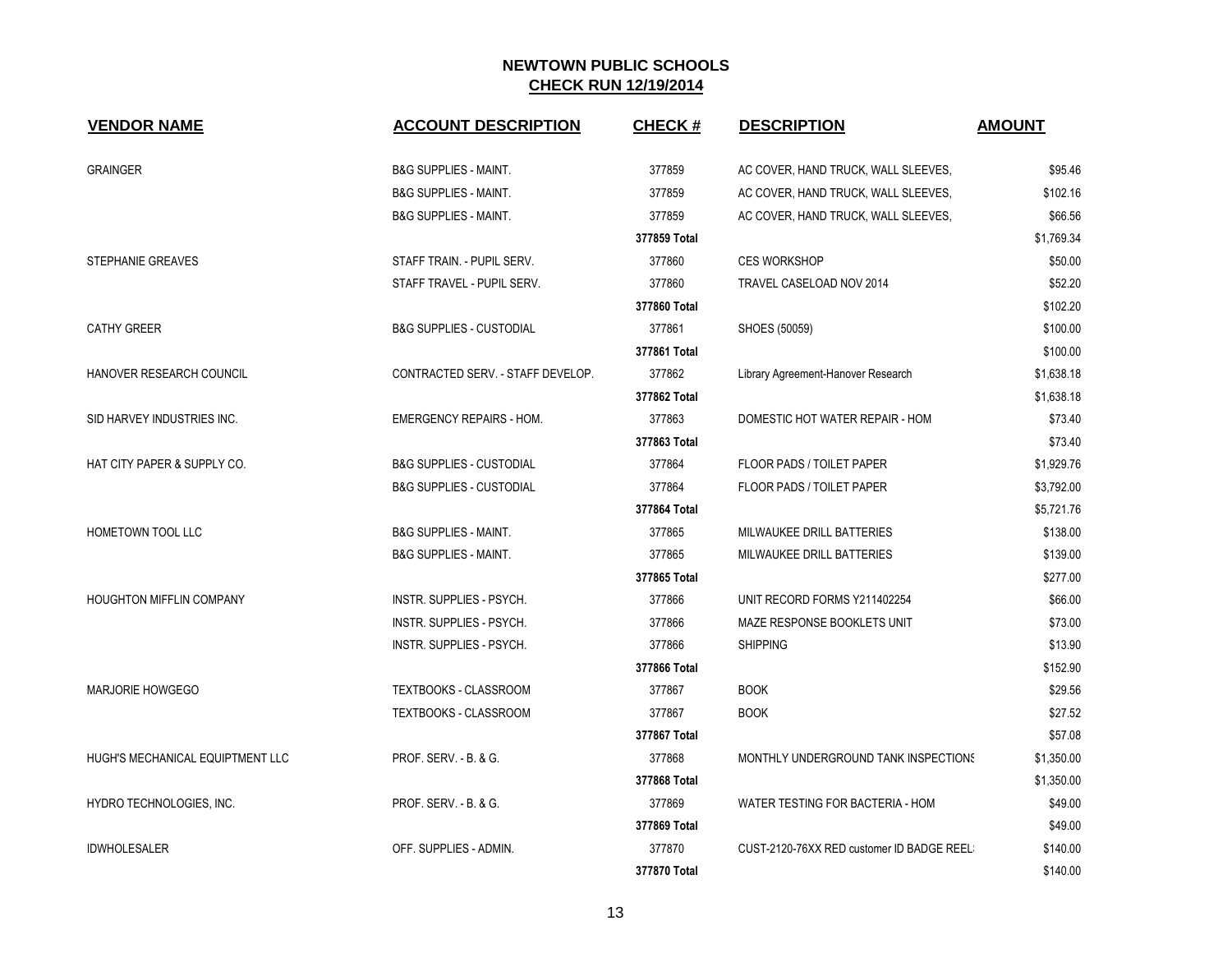| <b>VENDOR NAME</b>               | <b>ACCOUNT DESCRIPTION</b>          | <b>CHECK#</b> | <b>DESCRIPTION</b>                        | <b>AMOUNT</b> |
|----------------------------------|-------------------------------------|---------------|-------------------------------------------|---------------|
| <b>GRAINGER</b>                  | <b>B&amp;G SUPPLIES - MAINT.</b>    | 377859        | AC COVER, HAND TRUCK, WALL SLEEVES,       | \$95.46       |
|                                  | <b>B&amp;G SUPPLIES - MAINT.</b>    | 377859        | AC COVER, HAND TRUCK, WALL SLEEVES,       | \$102.16      |
|                                  | <b>B&amp;G SUPPLIES - MAINT.</b>    | 377859        | AC COVER, HAND TRUCK, WALL SLEEVES,       | \$66.56       |
|                                  |                                     | 377859 Total  |                                           | \$1,769.34    |
| <b>STEPHANIE GREAVES</b>         | STAFF TRAIN. - PUPIL SERV.          | 377860        | <b>CES WORKSHOP</b>                       | \$50.00       |
|                                  | STAFF TRAVEL - PUPIL SERV.          | 377860        | TRAVEL CASELOAD NOV 2014                  | \$52.20       |
|                                  |                                     | 377860 Total  |                                           | \$102.20      |
| <b>CATHY GREER</b>               | <b>B&amp;G SUPPLIES - CUSTODIAL</b> | 377861        | SHOES (50059)                             | \$100.00      |
|                                  |                                     | 377861 Total  |                                           | \$100.00      |
| HANOVER RESEARCH COUNCIL         | CONTRACTED SERV. - STAFF DEVELOP.   | 377862        | Library Agreement-Hanover Research        | \$1,638.18    |
|                                  |                                     | 377862 Total  |                                           | \$1,638.18    |
| SID HARVEY INDUSTRIES INC.       | <b>EMERGENCY REPAIRS - HOM.</b>     | 377863        | DOMESTIC HOT WATER REPAIR - HOM           | \$73.40       |
|                                  |                                     | 377863 Total  |                                           | \$73.40       |
| HAT CITY PAPER & SUPPLY CO.      | <b>B&amp;G SUPPLIES - CUSTODIAL</b> | 377864        | FLOOR PADS / TOILET PAPER                 | \$1,929.76    |
|                                  | <b>B&amp;G SUPPLIES - CUSTODIAL</b> | 377864        | FLOOR PADS / TOILET PAPER                 | \$3,792.00    |
|                                  |                                     | 377864 Total  |                                           | \$5,721.76    |
| HOMETOWN TOOL LLC                | <b>B&amp;G SUPPLIES - MAINT.</b>    | 377865        | MILWAUKEE DRILL BATTERIES                 | \$138.00      |
|                                  | <b>B&amp;G SUPPLIES - MAINT.</b>    | 377865        | MILWAUKEE DRILL BATTERIES                 | \$139.00      |
|                                  |                                     | 377865 Total  |                                           | \$277.00      |
| <b>HOUGHTON MIFFLIN COMPANY</b>  | <b>INSTR. SUPPLIES - PSYCH.</b>     | 377866        | UNIT RECORD FORMS Y211402254              | \$66.00       |
|                                  | INSTR. SUPPLIES - PSYCH.            | 377866        | MAZE RESPONSE BOOKLETS UNIT               | \$73.00       |
|                                  | <b>INSTR. SUPPLIES - PSYCH.</b>     | 377866        | <b>SHIPPING</b>                           | \$13.90       |
|                                  |                                     | 377866 Total  |                                           | \$152.90      |
| MARJORIE HOWGEGO                 | TEXTBOOKS - CLASSROOM               | 377867        | <b>BOOK</b>                               | \$29.56       |
|                                  | TEXTBOOKS - CLASSROOM               | 377867        | <b>BOOK</b>                               | \$27.52       |
|                                  |                                     | 377867 Total  |                                           | \$57.08       |
| HUGH'S MECHANICAL EQUIPTMENT LLC | PROF. SERV. - B. & G.               | 377868        | MONTHLY UNDERGROUND TANK INSPECTIONS      | \$1,350.00    |
|                                  |                                     | 377868 Total  |                                           | \$1,350.00    |
| HYDRO TECHNOLOGIES, INC.         | PROF. SERV. - B. & G.               | 377869        | WATER TESTING FOR BACTERIA - HOM          | \$49.00       |
|                                  |                                     | 377869 Total  |                                           | \$49.00       |
| <b>IDWHOLESALER</b>              | OFF. SUPPLIES - ADMIN.              | 377870        | CUST-2120-76XX RED customer ID BADGE REEL | \$140.00      |
|                                  |                                     | 377870 Total  |                                           | \$140.00      |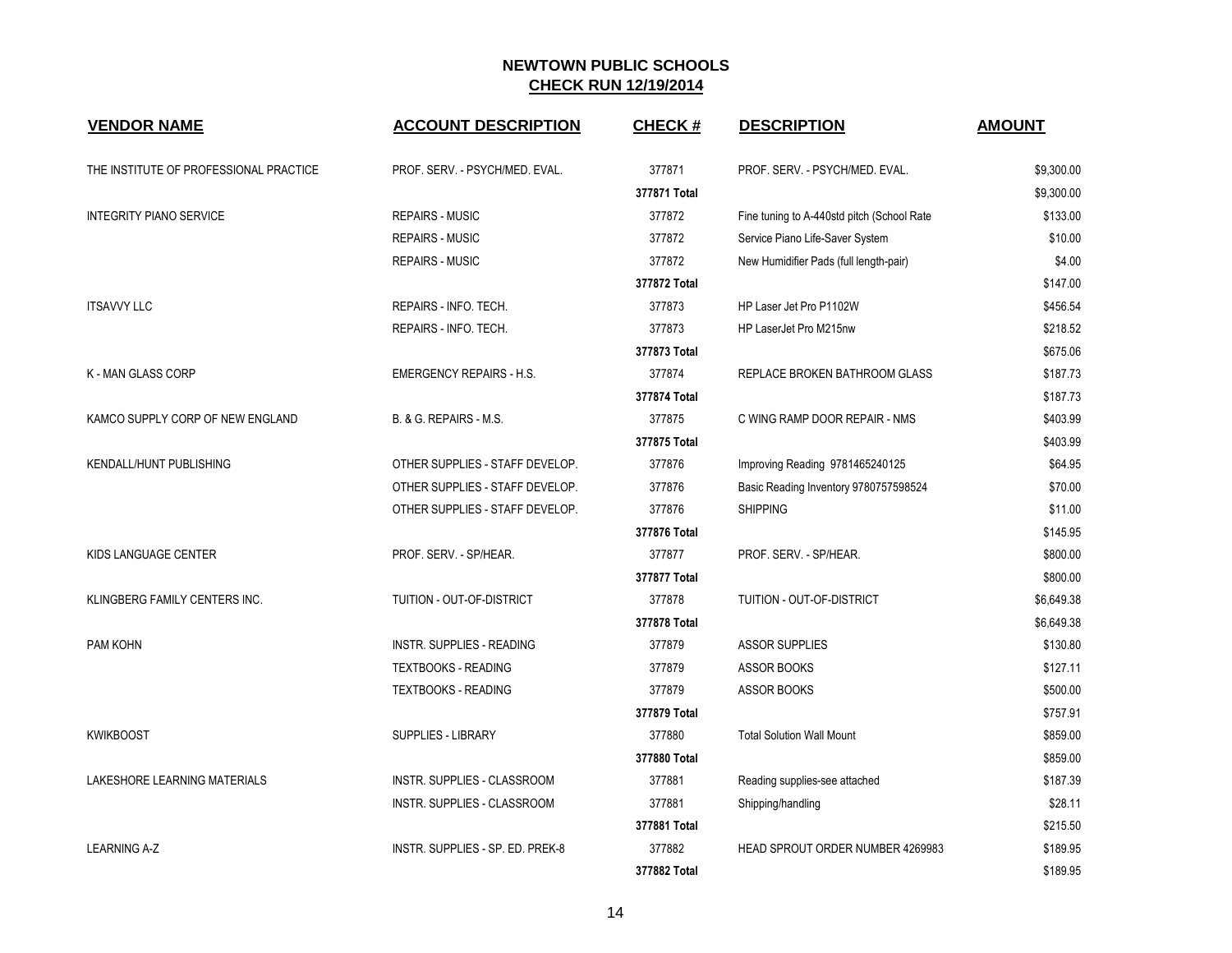| <b>VENDOR NAME</b>                     | <b>ACCOUNT DESCRIPTION</b>         | <b>CHECK#</b> | <b>DESCRIPTION</b>                          | <b>AMOUNT</b> |
|----------------------------------------|------------------------------------|---------------|---------------------------------------------|---------------|
| THE INSTITUTE OF PROFESSIONAL PRACTICE | PROF. SERV. - PSYCH/MED. EVAL.     | 377871        | PROF. SERV. - PSYCH/MED. EVAL.              | \$9,300.00    |
|                                        |                                    | 377871 Total  |                                             | \$9,300.00    |
| <b>INTEGRITY PIANO SERVICE</b>         | <b>REPAIRS - MUSIC</b>             | 377872        | Fine tuning to A-440std pitch (School Rate) | \$133.00      |
|                                        | <b>REPAIRS - MUSIC</b>             | 377872        | Service Piano Life-Saver System             | \$10.00       |
|                                        | <b>REPAIRS - MUSIC</b>             | 377872        | New Humidifier Pads (full length-pair)      | \$4.00        |
|                                        |                                    | 377872 Total  |                                             | \$147.00      |
| <b>ITSAVVY LLC</b>                     | REPAIRS - INFO. TECH.              | 377873        | HP Laser Jet Pro P1102W                     | \$456.54      |
|                                        | REPAIRS - INFO. TECH.              | 377873        | HP LaserJet Pro M215nw                      | \$218.52      |
|                                        |                                    | 377873 Total  |                                             | \$675.06      |
| K - MAN GLASS CORP                     | <b>EMERGENCY REPAIRS - H.S.</b>    | 377874        | REPLACE BROKEN BATHROOM GLASS               | \$187.73      |
|                                        |                                    | 377874 Total  |                                             | \$187.73      |
| KAMCO SUPPLY CORP OF NEW ENGLAND       | B. & G. REPAIRS - M.S.             | 377875        | C WING RAMP DOOR REPAIR - NMS               | \$403.99      |
|                                        |                                    | 377875 Total  |                                             | \$403.99      |
| KENDALL/HUNT PUBLISHING                | OTHER SUPPLIES - STAFF DEVELOP.    | 377876        | Improving Reading 9781465240125             | \$64.95       |
|                                        | OTHER SUPPLIES - STAFF DEVELOP.    | 377876        | Basic Reading Inventory 9780757598524       | \$70.00       |
|                                        | OTHER SUPPLIES - STAFF DEVELOP.    | 377876        | <b>SHIPPING</b>                             | \$11.00       |
|                                        |                                    | 377876 Total  |                                             | \$145.95      |
| KIDS LANGUAGE CENTER                   | PROF. SERV. - SP/HEAR.             | 377877        | PROF. SERV. - SP/HEAR.                      | \$800.00      |
|                                        |                                    | 377877 Total  |                                             | \$800.00      |
| KLINGBERG FAMILY CENTERS INC.          | TUITION - OUT-OF-DISTRICT          | 377878        | TUITION - OUT-OF-DISTRICT                   | \$6,649.38    |
|                                        |                                    | 377878 Total  |                                             | \$6,649.38    |
| PAM KOHN                               | <b>INSTR. SUPPLIES - READING</b>   | 377879        | <b>ASSOR SUPPLIES</b>                       | \$130.80      |
|                                        | <b>TEXTBOOKS - READING</b>         | 377879        | <b>ASSOR BOOKS</b>                          | \$127.11      |
|                                        | <b>TEXTBOOKS - READING</b>         | 377879        | ASSOR BOOKS                                 | \$500.00      |
|                                        |                                    | 377879 Total  |                                             | \$757.91      |
| <b>KWIKBOOST</b>                       | SUPPLIES - LIBRARY                 | 377880        | <b>Total Solution Wall Mount</b>            | \$859.00      |
|                                        |                                    | 377880 Total  |                                             | \$859.00      |
| LAKESHORE LEARNING MATERIALS           | INSTR. SUPPLIES - CLASSROOM        | 377881        | Reading supplies-see attached               | \$187.39      |
|                                        | <b>INSTR. SUPPLIES - CLASSROOM</b> | 377881        | Shipping/handling                           | \$28.11       |
|                                        |                                    | 377881 Total  |                                             | \$215.50      |
| <b>LEARNING A-Z</b>                    | INSTR. SUPPLIES - SP. ED. PREK-8   | 377882        | <b>HEAD SPROUT ORDER NUMBER 4269983</b>     | \$189.95      |
|                                        |                                    | 377882 Total  |                                             | \$189.95      |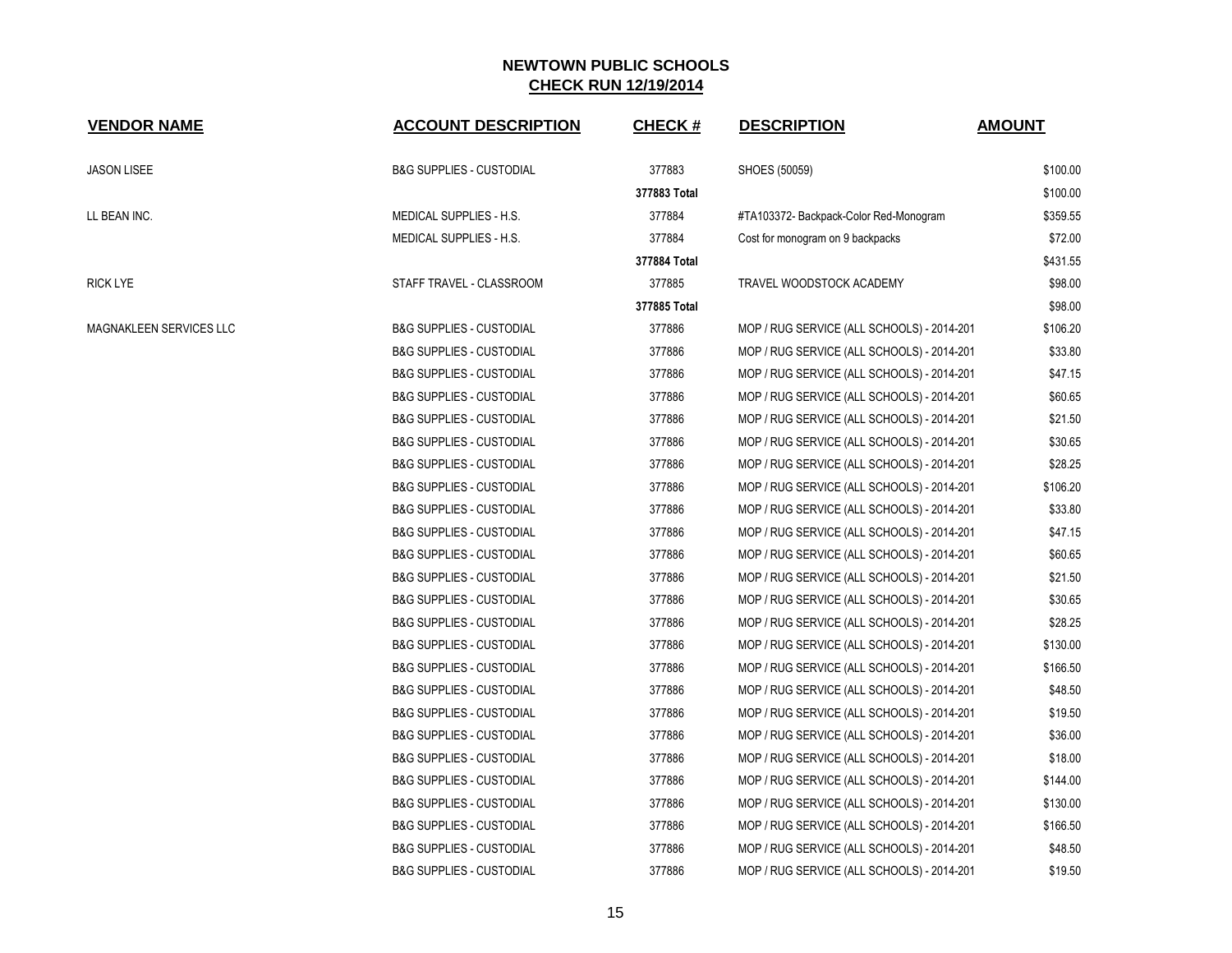| <b>VENDOR NAME</b>             | <b>ACCOUNT DESCRIPTION</b>          | <b>CHECK#</b> | <b>DESCRIPTION</b>                         | <b>AMOUNT</b> |
|--------------------------------|-------------------------------------|---------------|--------------------------------------------|---------------|
| <b>JASON LISEE</b>             | <b>B&amp;G SUPPLIES - CUSTODIAL</b> | 377883        | SHOES (50059)                              | \$100.00      |
|                                |                                     | 377883 Total  |                                            | \$100.00      |
| LL BEAN INC.                   | MEDICAL SUPPLIES - H.S.             | 377884        | #TA103372- Backpack-Color Red-Monogram     | \$359.55      |
|                                | MEDICAL SUPPLIES - H.S.             | 377884        | Cost for monogram on 9 backpacks           | \$72.00       |
|                                |                                     | 377884 Total  |                                            | \$431.55      |
| <b>RICK LYE</b>                | STAFF TRAVEL - CLASSROOM            | 377885        | TRAVEL WOODSTOCK ACADEMY                   | \$98.00       |
|                                |                                     | 377885 Total  |                                            | \$98.00       |
| <b>MAGNAKLEEN SERVICES LLC</b> | <b>B&amp;G SUPPLIES - CUSTODIAL</b> | 377886        | MOP / RUG SERVICE (ALL SCHOOLS) - 2014-201 | \$106.20      |
|                                | <b>B&amp;G SUPPLIES - CUSTODIAL</b> | 377886        | MOP / RUG SERVICE (ALL SCHOOLS) - 2014-201 | \$33.80       |
|                                | <b>B&amp;G SUPPLIES - CUSTODIAL</b> | 377886        | MOP / RUG SERVICE (ALL SCHOOLS) - 2014-201 | \$47.15       |
|                                | <b>B&amp;G SUPPLIES - CUSTODIAL</b> | 377886        | MOP / RUG SERVICE (ALL SCHOOLS) - 2014-201 | \$60.65       |
|                                | <b>B&amp;G SUPPLIES - CUSTODIAL</b> | 377886        | MOP / RUG SERVICE (ALL SCHOOLS) - 2014-201 | \$21.50       |
|                                | <b>B&amp;G SUPPLIES - CUSTODIAL</b> | 377886        | MOP / RUG SERVICE (ALL SCHOOLS) - 2014-201 | \$30.65       |
|                                | <b>B&amp;G SUPPLIES - CUSTODIAL</b> | 377886        | MOP / RUG SERVICE (ALL SCHOOLS) - 2014-201 | \$28.25       |
|                                | <b>B&amp;G SUPPLIES - CUSTODIAL</b> | 377886        | MOP / RUG SERVICE (ALL SCHOOLS) - 2014-201 | \$106.20      |
|                                | <b>B&amp;G SUPPLIES - CUSTODIAL</b> | 377886        | MOP / RUG SERVICE (ALL SCHOOLS) - 2014-201 | \$33.80       |
|                                | <b>B&amp;G SUPPLIES - CUSTODIAL</b> | 377886        | MOP / RUG SERVICE (ALL SCHOOLS) - 2014-201 | \$47.15       |
|                                | <b>B&amp;G SUPPLIES - CUSTODIAL</b> | 377886        | MOP / RUG SERVICE (ALL SCHOOLS) - 2014-201 | \$60.65       |
|                                | <b>B&amp;G SUPPLIES - CUSTODIAL</b> | 377886        | MOP / RUG SERVICE (ALL SCHOOLS) - 2014-201 | \$21.50       |
|                                | <b>B&amp;G SUPPLIES - CUSTODIAL</b> | 377886        | MOP / RUG SERVICE (ALL SCHOOLS) - 2014-201 | \$30.65       |
|                                | <b>B&amp;G SUPPLIES - CUSTODIAL</b> | 377886        | MOP / RUG SERVICE (ALL SCHOOLS) - 2014-201 | \$28.25       |
|                                | <b>B&amp;G SUPPLIES - CUSTODIAL</b> | 377886        | MOP / RUG SERVICE (ALL SCHOOLS) - 2014-201 | \$130.00      |
|                                | <b>B&amp;G SUPPLIES - CUSTODIAL</b> | 377886        | MOP / RUG SERVICE (ALL SCHOOLS) - 2014-201 | \$166.50      |
|                                | <b>B&amp;G SUPPLIES - CUSTODIAL</b> | 377886        | MOP / RUG SERVICE (ALL SCHOOLS) - 2014-201 | \$48.50       |
|                                | <b>B&amp;G SUPPLIES - CUSTODIAL</b> | 377886        | MOP / RUG SERVICE (ALL SCHOOLS) - 2014-201 | \$19.50       |
|                                | <b>B&amp;G SUPPLIES - CUSTODIAL</b> | 377886        | MOP / RUG SERVICE (ALL SCHOOLS) - 2014-201 | \$36.00       |
|                                | <b>B&amp;G SUPPLIES - CUSTODIAL</b> | 377886        | MOP / RUG SERVICE (ALL SCHOOLS) - 2014-201 | \$18.00       |
|                                | <b>B&amp;G SUPPLIES - CUSTODIAL</b> | 377886        | MOP / RUG SERVICE (ALL SCHOOLS) - 2014-201 | \$144.00      |
|                                | <b>B&amp;G SUPPLIES - CUSTODIAL</b> | 377886        | MOP / RUG SERVICE (ALL SCHOOLS) - 2014-201 | \$130.00      |
|                                | <b>B&amp;G SUPPLIES - CUSTODIAL</b> | 377886        | MOP / RUG SERVICE (ALL SCHOOLS) - 2014-201 | \$166.50      |
|                                | <b>B&amp;G SUPPLIES - CUSTODIAL</b> | 377886        | MOP / RUG SERVICE (ALL SCHOOLS) - 2014-201 | \$48.50       |
|                                | <b>B&amp;G SUPPLIES - CUSTODIAL</b> | 377886        | MOP / RUG SERVICE (ALL SCHOOLS) - 2014-201 | \$19.50       |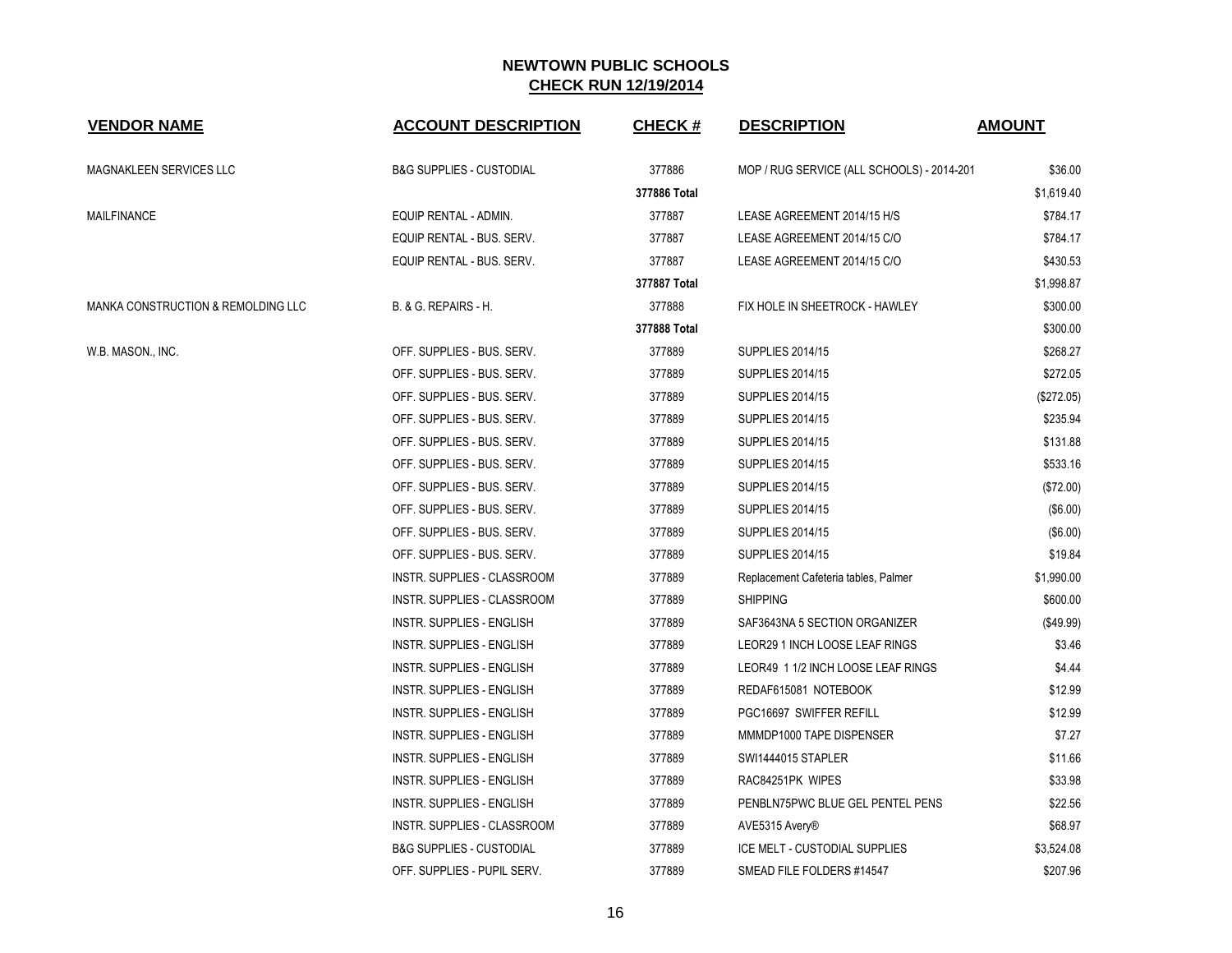| <b>VENDOR NAME</b>                 | <b>ACCOUNT DESCRIPTION</b>          | <b>CHECK#</b> | <b>DESCRIPTION</b>                         | <b>AMOUNT</b> |
|------------------------------------|-------------------------------------|---------------|--------------------------------------------|---------------|
| <b>MAGNAKLEEN SERVICES LLC</b>     | <b>B&amp;G SUPPLIES - CUSTODIAL</b> | 377886        | MOP / RUG SERVICE (ALL SCHOOLS) - 2014-201 | \$36.00       |
|                                    |                                     | 377886 Total  |                                            | \$1,619.40    |
| <b>MAILFINANCE</b>                 | EQUIP RENTAL - ADMIN.               | 377887        | LEASE AGREEMENT 2014/15 H/S                | \$784.17      |
|                                    | EQUIP RENTAL - BUS. SERV.           | 377887        | LEASE AGREEMENT 2014/15 C/O                | \$784.17      |
|                                    | EQUIP RENTAL - BUS. SERV.           | 377887        | LEASE AGREEMENT 2014/15 C/O                | \$430.53      |
|                                    |                                     | 377887 Total  |                                            | \$1,998.87    |
| MANKA CONSTRUCTION & REMOLDING LLC | B. & G. REPAIRS - H.                | 377888        | FIX HOLE IN SHEETROCK - HAWLEY             | \$300.00      |
|                                    |                                     | 377888 Total  |                                            | \$300.00      |
| W.B. MASON., INC.                  | OFF. SUPPLIES - BUS. SERV.          | 377889        | <b>SUPPLIES 2014/15</b>                    | \$268.27      |
|                                    | OFF. SUPPLIES - BUS. SERV.          | 377889        | <b>SUPPLIES 2014/15</b>                    | \$272.05      |
|                                    | OFF. SUPPLIES - BUS. SERV.          | 377889        | <b>SUPPLIES 2014/15</b>                    | (\$272.05)    |
|                                    | OFF. SUPPLIES - BUS. SERV.          | 377889        | <b>SUPPLIES 2014/15</b>                    | \$235.94      |
|                                    | OFF. SUPPLIES - BUS. SERV.          | 377889        | <b>SUPPLIES 2014/15</b>                    | \$131.88      |
|                                    | OFF. SUPPLIES - BUS. SERV.          | 377889        | <b>SUPPLIES 2014/15</b>                    | \$533.16      |
|                                    | OFF. SUPPLIES - BUS. SERV.          | 377889        | <b>SUPPLIES 2014/15</b>                    | (\$72.00)     |
|                                    | OFF. SUPPLIES - BUS. SERV.          | 377889        | <b>SUPPLIES 2014/15</b>                    | (\$6.00)      |
|                                    | OFF. SUPPLIES - BUS. SERV.          | 377889        | <b>SUPPLIES 2014/15</b>                    | (\$6.00)      |
|                                    | OFF. SUPPLIES - BUS. SERV.          | 377889        | <b>SUPPLIES 2014/15</b>                    | \$19.84       |
|                                    | INSTR. SUPPLIES - CLASSROOM         | 377889        | Replacement Cafeteria tables, Palmer       | \$1,990.00    |
|                                    | INSTR. SUPPLIES - CLASSROOM         | 377889        | <b>SHIPPING</b>                            | \$600.00      |
|                                    | <b>INSTR. SUPPLIES - ENGLISH</b>    | 377889        | SAF3643NA 5 SECTION ORGANIZER              | (\$49.99)     |
|                                    | <b>INSTR. SUPPLIES - ENGLISH</b>    | 377889        | LEOR29 1 INCH LOOSE LEAF RINGS             | \$3.46        |
|                                    | <b>INSTR. SUPPLIES - ENGLISH</b>    | 377889        | LEOR49 1 1/2 INCH LOOSE LEAF RINGS         | \$4.44        |
|                                    | <b>INSTR. SUPPLIES - ENGLISH</b>    | 377889        | REDAF615081 NOTEBOOK                       | \$12.99       |
|                                    | <b>INSTR. SUPPLIES - ENGLISH</b>    | 377889        | PGC16697 SWIFFER REFILL                    | \$12.99       |
|                                    | <b>INSTR. SUPPLIES - ENGLISH</b>    | 377889        | MMMDP1000 TAPE DISPENSER                   | \$7.27        |
|                                    | <b>INSTR. SUPPLIES - ENGLISH</b>    | 377889        | <b>SWI1444015 STAPLER</b>                  | \$11.66       |
|                                    | INSTR. SUPPLIES - ENGLISH           | 377889        | RAC84251PK WIPES                           | \$33.98       |
|                                    | INSTR. SUPPLIES - ENGLISH           | 377889        | PENBLN75PWC BLUE GEL PENTEL PENS           | \$22.56       |
|                                    | INSTR. SUPPLIES - CLASSROOM         | 377889        | AVE5315 Avery®                             | \$68.97       |
|                                    | <b>B&amp;G SUPPLIES - CUSTODIAL</b> | 377889        | ICE MELT - CUSTODIAL SUPPLIES              | \$3,524.08    |
|                                    | OFF. SUPPLIES - PUPIL SERV.         | 377889        | SMEAD FILE FOLDERS #14547                  | \$207.96      |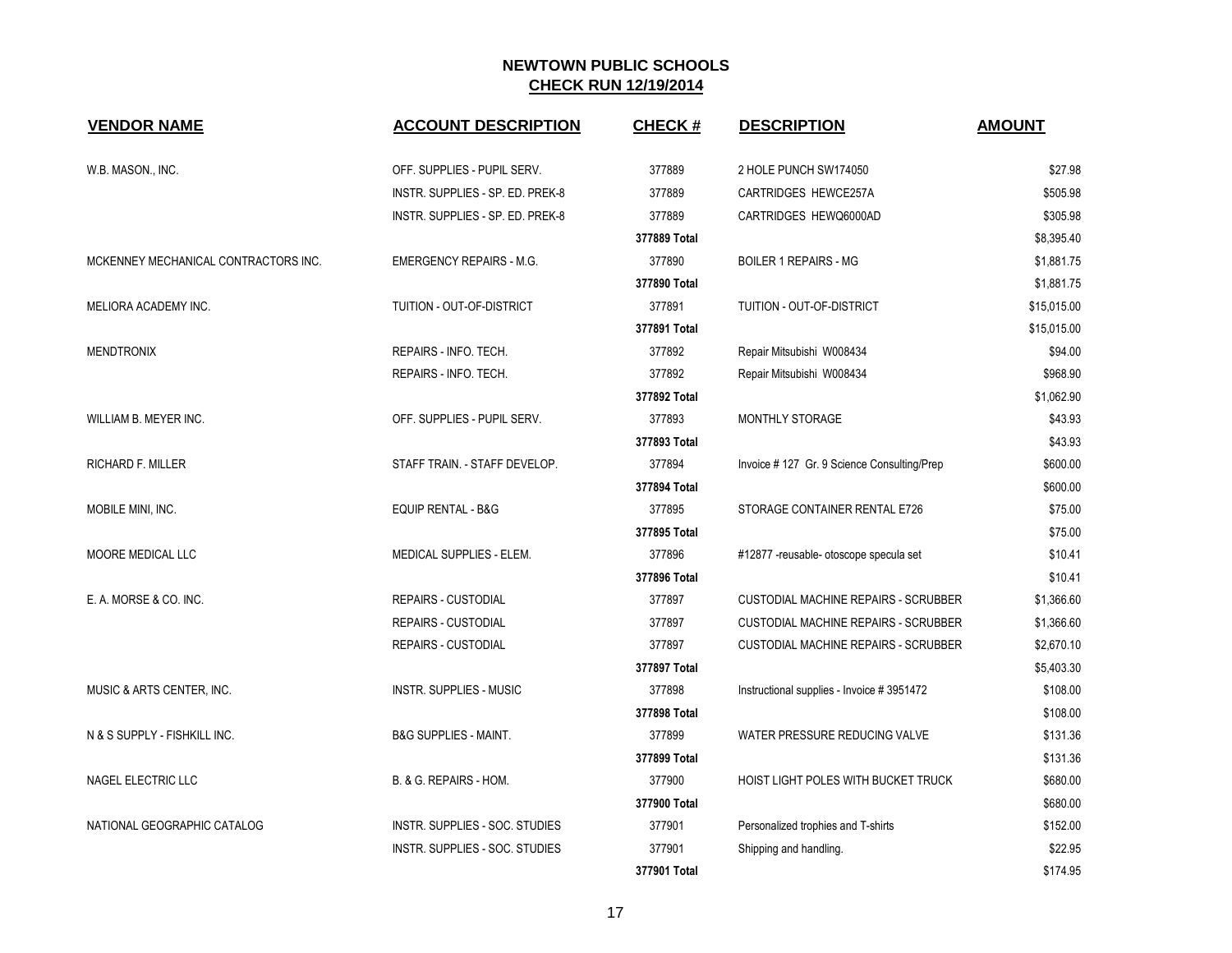| <b>VENDOR NAME</b>                   | <b>ACCOUNT DESCRIPTION</b>            | <b>CHECK#</b> | <b>DESCRIPTION</b>                          | <b>AMOUNT</b> |
|--------------------------------------|---------------------------------------|---------------|---------------------------------------------|---------------|
| W.B. MASON., INC.                    | OFF. SUPPLIES - PUPIL SERV.           | 377889        | 2 HOLE PUNCH SW174050                       | \$27.98       |
|                                      | INSTR. SUPPLIES - SP. ED. PREK-8      | 377889        | CARTRIDGES HEWCE257A                        | \$505.98      |
|                                      | INSTR. SUPPLIES - SP. ED. PREK-8      | 377889        | CARTRIDGES HEWQ6000AD                       | \$305.98      |
|                                      |                                       | 377889 Total  |                                             | \$8,395.40    |
| MCKENNEY MECHANICAL CONTRACTORS INC. | <b>EMERGENCY REPAIRS - M.G.</b>       | 377890        | <b>BOILER 1 REPAIRS - MG</b>                | \$1,881.75    |
|                                      |                                       | 377890 Total  |                                             | \$1.881.75    |
| MELIORA ACADEMY INC.                 | TUITION - OUT-OF-DISTRICT             | 377891        | TUITION - OUT-OF-DISTRICT                   | \$15,015.00   |
|                                      |                                       | 377891 Total  |                                             | \$15,015.00   |
| <b>MENDTRONIX</b>                    | REPAIRS - INFO. TECH.                 | 377892        | Repair Mitsubishi W008434                   | \$94.00       |
|                                      | REPAIRS - INFO. TECH.                 | 377892        | Repair Mitsubishi W008434                   | \$968.90      |
|                                      |                                       | 377892 Total  |                                             | \$1,062.90    |
| WILLIAM B. MEYER INC.                | OFF. SUPPLIES - PUPIL SERV.           | 377893        | MONTHLY STORAGE                             | \$43.93       |
|                                      |                                       | 377893 Total  |                                             | \$43.93       |
| <b>RICHARD F. MILLER</b>             | STAFF TRAIN. - STAFF DEVELOP.         | 377894        | Invoice #127 Gr. 9 Science Consulting/Prep  | \$600.00      |
|                                      |                                       | 377894 Total  |                                             | \$600.00      |
| MOBILE MINI, INC.                    | <b>EQUIP RENTAL - B&amp;G</b>         | 377895        | STORAGE CONTAINER RENTAL E726               | \$75.00       |
|                                      |                                       | 377895 Total  |                                             | \$75.00       |
| MOORE MEDICAL LLC                    | MEDICAL SUPPLIES - ELEM.              | 377896        | #12877 - reusable - otoscope specula set    | \$10.41       |
|                                      |                                       | 377896 Total  |                                             | \$10.41       |
| E. A. MORSE & CO. INC.               | <b>REPAIRS - CUSTODIAL</b>            | 377897        | <b>CUSTODIAL MACHINE REPAIRS - SCRUBBER</b> | \$1,366.60    |
|                                      | <b>REPAIRS - CUSTODIAL</b>            | 377897        | <b>CUSTODIAL MACHINE REPAIRS - SCRUBBER</b> | \$1,366.60    |
|                                      | <b>REPAIRS - CUSTODIAL</b>            | 377897        | <b>CUSTODIAL MACHINE REPAIRS - SCRUBBER</b> | \$2,670.10    |
|                                      |                                       | 377897 Total  |                                             | \$5,403.30    |
| MUSIC & ARTS CENTER, INC.            | <b>INSTR. SUPPLIES - MUSIC</b>        | 377898        | Instructional supplies - Invoice #3951472   | \$108.00      |
|                                      |                                       | 377898 Total  |                                             | \$108.00      |
| N & S SUPPLY - FISHKILL INC.         | <b>B&amp;G SUPPLIES - MAINT.</b>      | 377899        | WATER PRESSURE REDUCING VALVE               | \$131.36      |
|                                      |                                       | 377899 Total  |                                             | \$131.36      |
| NAGEL ELECTRIC LLC                   | B. & G. REPAIRS - HOM.                | 377900        | HOIST LIGHT POLES WITH BUCKET TRUCK         | \$680.00      |
|                                      |                                       | 377900 Total  |                                             | \$680.00      |
| NATIONAL GEOGRAPHIC CATALOG          | INSTR. SUPPLIES - SOC. STUDIES        | 377901        | Personalized trophies and T-shirts          | \$152.00      |
|                                      | <b>INSTR. SUPPLIES - SOC. STUDIES</b> | 377901        | Shipping and handling.                      | \$22.95       |
|                                      |                                       | 377901 Total  |                                             | \$174.95      |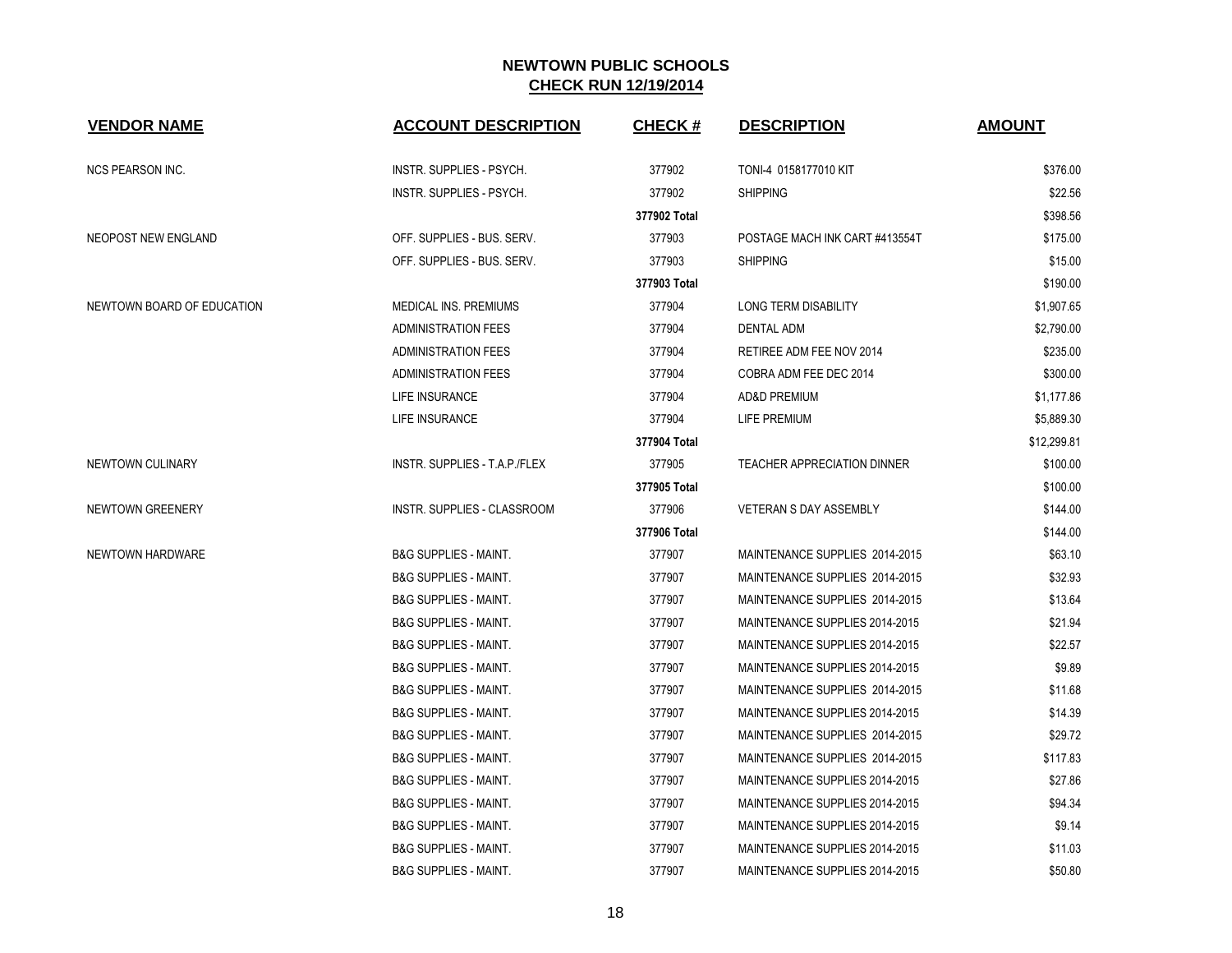| <b>VENDOR NAME</b>         | <b>ACCOUNT DESCRIPTION</b>       | <b>CHECK#</b> | <b>DESCRIPTION</b>                 | <b>AMOUNT</b> |
|----------------------------|----------------------------------|---------------|------------------------------------|---------------|
| <b>NCS PEARSON INC.</b>    | <b>INSTR. SUPPLIES - PSYCH.</b>  | 377902        | TONI-4 0158177010 KIT              | \$376.00      |
|                            | INSTR. SUPPLIES - PSYCH.         | 377902        | <b>SHIPPING</b>                    | \$22.56       |
|                            |                                  | 377902 Total  |                                    | \$398.56      |
| <b>NEOPOST NEW ENGLAND</b> | OFF. SUPPLIES - BUS. SERV.       | 377903        | POSTAGE MACH INK CART #413554T     | \$175.00      |
|                            | OFF. SUPPLIES - BUS. SERV.       | 377903        | <b>SHIPPING</b>                    | \$15.00       |
|                            |                                  | 377903 Total  |                                    | \$190.00      |
| NEWTOWN BOARD OF EDUCATION | <b>MEDICAL INS. PREMIUMS</b>     | 377904        | <b>LONG TERM DISABILITY</b>        | \$1,907.65    |
|                            | <b>ADMINISTRATION FEES</b>       | 377904        | <b>DENTAL ADM</b>                  | \$2,790.00    |
|                            | <b>ADMINISTRATION FEES</b>       | 377904        | RETIREE ADM FEE NOV 2014           | \$235.00      |
|                            | <b>ADMINISTRATION FEES</b>       | 377904        | COBRA ADM FEE DEC 2014             | \$300.00      |
|                            | LIFE INSURANCE                   | 377904        | <b>AD&amp;D PREMIUM</b>            | \$1,177.86    |
|                            | LIFE INSURANCE                   | 377904        | LIFE PREMIUM                       | \$5,889.30    |
|                            |                                  | 377904 Total  |                                    | \$12,299.81   |
| NEWTOWN CULINARY           | INSTR. SUPPLIES - T.A.P./FLEX    | 377905        | <b>TEACHER APPRECIATION DINNER</b> | \$100.00      |
|                            |                                  | 377905 Total  |                                    | \$100.00      |
| <b>NEWTOWN GREENERY</b>    | INSTR. SUPPLIES - CLASSROOM      | 377906        | <b>VETERAN S DAY ASSEMBLY</b>      | \$144.00      |
|                            |                                  | 377906 Total  |                                    | \$144.00      |
| NEWTOWN HARDWARE           | <b>B&amp;G SUPPLIES - MAINT.</b> | 377907        | MAINTENANCE SUPPLIES 2014-2015     | \$63.10       |
|                            | <b>B&amp;G SUPPLIES - MAINT.</b> | 377907        | MAINTENANCE SUPPLIES 2014-2015     | \$32.93       |
|                            | <b>B&amp;G SUPPLIES - MAINT.</b> | 377907        | MAINTENANCE SUPPLIES 2014-2015     | \$13.64       |
|                            | <b>B&amp;G SUPPLIES - MAINT.</b> | 377907        | MAINTENANCE SUPPLIES 2014-2015     | \$21.94       |
|                            | <b>B&amp;G SUPPLIES - MAINT.</b> | 377907        | MAINTENANCE SUPPLIES 2014-2015     | \$22.57       |
|                            | <b>B&amp;G SUPPLIES - MAINT.</b> | 377907        | MAINTENANCE SUPPLIES 2014-2015     | \$9.89        |
|                            | <b>B&amp;G SUPPLIES - MAINT.</b> | 377907        | MAINTENANCE SUPPLIES 2014-2015     | \$11.68       |
|                            | <b>B&amp;G SUPPLIES - MAINT.</b> | 377907        | MAINTENANCE SUPPLIES 2014-2015     | \$14.39       |
|                            | <b>B&amp;G SUPPLIES - MAINT.</b> | 377907        | MAINTENANCE SUPPLIES 2014-2015     | \$29.72       |
|                            | <b>B&amp;G SUPPLIES - MAINT.</b> | 377907        | MAINTENANCE SUPPLIES 2014-2015     | \$117.83      |
|                            | <b>B&amp;G SUPPLIES - MAINT.</b> | 377907        | MAINTENANCE SUPPLIES 2014-2015     | \$27.86       |
|                            | <b>B&amp;G SUPPLIES - MAINT.</b> | 377907        | MAINTENANCE SUPPLIES 2014-2015     | \$94.34       |
|                            | <b>B&amp;G SUPPLIES - MAINT.</b> | 377907        | MAINTENANCE SUPPLIES 2014-2015     | \$9.14        |
|                            | <b>B&amp;G SUPPLIES - MAINT.</b> | 377907        | MAINTENANCE SUPPLIES 2014-2015     | \$11.03       |
|                            | <b>B&amp;G SUPPLIES - MAINT.</b> | 377907        | MAINTENANCE SUPPLIES 2014-2015     | \$50.80       |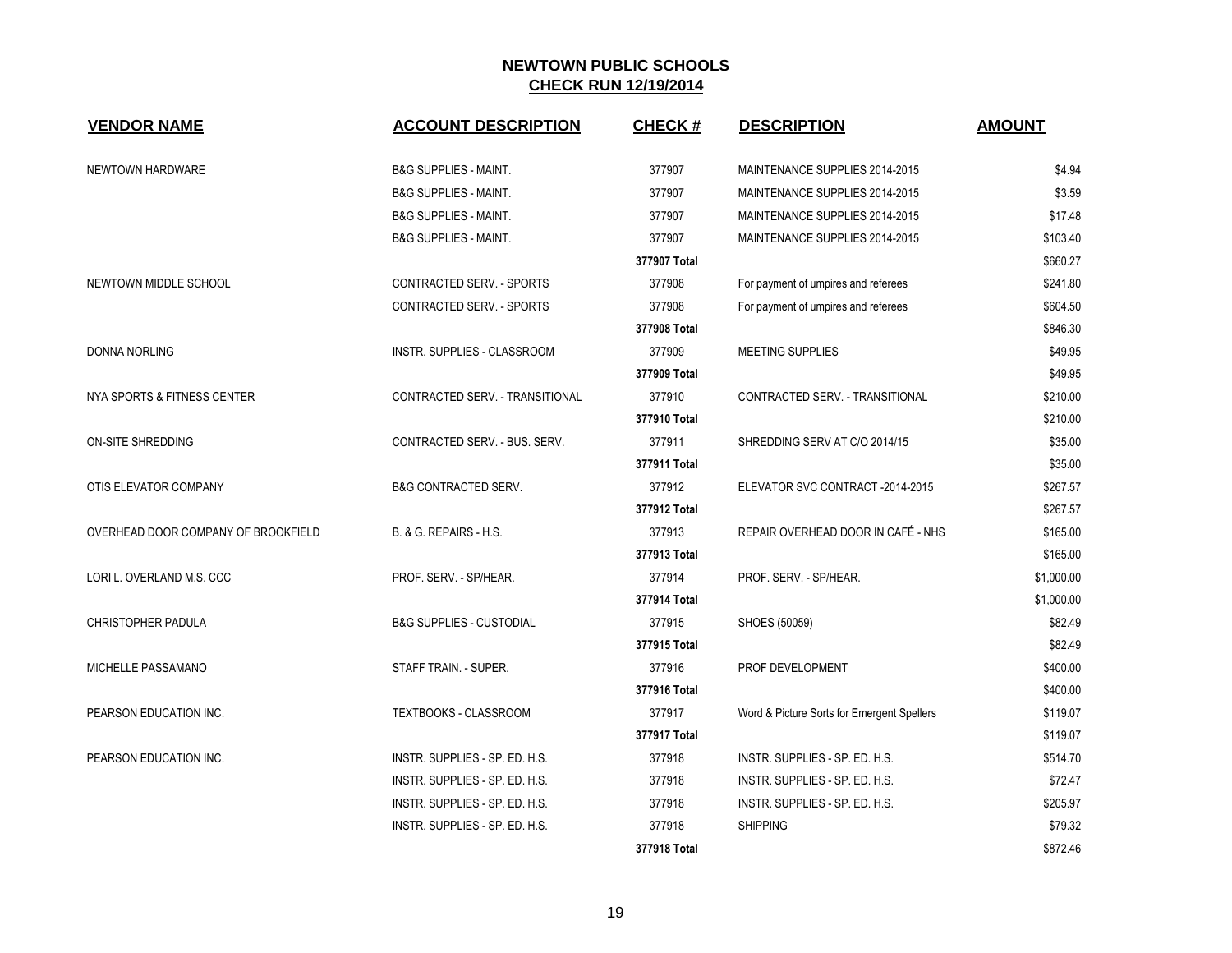| <b>VENDOR NAME</b>                  | <b>ACCOUNT DESCRIPTION</b>          | <b>CHECK#</b> | <b>DESCRIPTION</b>                         | <b>AMOUNT</b> |
|-------------------------------------|-------------------------------------|---------------|--------------------------------------------|---------------|
| NEWTOWN HARDWARE                    | <b>B&amp;G SUPPLIES - MAINT.</b>    | 377907        | MAINTENANCE SUPPLIES 2014-2015             | \$4.94        |
|                                     | <b>B&amp;G SUPPLIES - MAINT.</b>    | 377907        | MAINTENANCE SUPPLIES 2014-2015             | \$3.59        |
|                                     | <b>B&amp;G SUPPLIES - MAINT.</b>    | 377907        | MAINTENANCE SUPPLIES 2014-2015             | \$17.48       |
|                                     | <b>B&amp;G SUPPLIES - MAINT.</b>    | 377907        | MAINTENANCE SUPPLIES 2014-2015             | \$103.40      |
|                                     |                                     | 377907 Total  |                                            | \$660.27      |
| NEWTOWN MIDDLE SCHOOL               | CONTRACTED SERV. - SPORTS           | 377908        | For payment of umpires and referees        | \$241.80      |
|                                     | CONTRACTED SERV. - SPORTS           | 377908        | For payment of umpires and referees        | \$604.50      |
|                                     |                                     | 377908 Total  |                                            | \$846.30      |
| DONNA NORLING                       | INSTR. SUPPLIES - CLASSROOM         | 377909        | MEETING SUPPLIES                           | \$49.95       |
|                                     |                                     | 377909 Total  |                                            | \$49.95       |
| NYA SPORTS & FITNESS CENTER         | CONTRACTED SERV. - TRANSITIONAL     | 377910        | CONTRACTED SERV. - TRANSITIONAL            | \$210.00      |
|                                     |                                     | 377910 Total  |                                            | \$210.00      |
| ON-SITE SHREDDING                   | CONTRACTED SERV. - BUS. SERV.       | 377911        | SHREDDING SERV AT C/O 2014/15              | \$35.00       |
|                                     |                                     | 377911 Total  |                                            | \$35.00       |
| OTIS ELEVATOR COMPANY               | <b>B&amp;G CONTRACTED SERV.</b>     | 377912        | ELEVATOR SVC CONTRACT -2014-2015           | \$267.57      |
|                                     |                                     | 377912 Total  |                                            | \$267.57      |
| OVERHEAD DOOR COMPANY OF BROOKFIELD | B. & G. REPAIRS - H.S.              | 377913        | REPAIR OVERHEAD DOOR IN CAFÉ - NHS         | \$165.00      |
|                                     |                                     | 377913 Total  |                                            | \$165.00      |
| LORI L. OVERLAND M.S. CCC           | PROF. SERV. - SP/HEAR.              | 377914        | PROF. SERV. - SP/HEAR.                     | \$1,000.00    |
|                                     |                                     | 377914 Total  |                                            | \$1,000.00    |
| CHRISTOPHER PADULA                  | <b>B&amp;G SUPPLIES - CUSTODIAL</b> | 377915        | SHOES (50059)                              | \$82.49       |
|                                     |                                     | 377915 Total  |                                            | \$82.49       |
| MICHELLE PASSAMANO                  | STAFF TRAIN. - SUPER.               | 377916        | PROF DEVELOPMENT                           | \$400.00      |
|                                     |                                     | 377916 Total  |                                            | \$400.00      |
| PEARSON EDUCATION INC.              | TEXTBOOKS - CLASSROOM               | 377917        | Word & Picture Sorts for Emergent Spellers | \$119.07      |
|                                     |                                     | 377917 Total  |                                            | \$119.07      |
| PEARSON EDUCATION INC.              | INSTR. SUPPLIES - SP. ED. H.S.      | 377918        | INSTR. SUPPLIES - SP. ED. H.S.             | \$514.70      |
|                                     | INSTR. SUPPLIES - SP. ED. H.S.      | 377918        | INSTR. SUPPLIES - SP. ED. H.S.             | \$72.47       |
|                                     | INSTR. SUPPLIES - SP. ED. H.S.      | 377918        | INSTR. SUPPLIES - SP. ED. H.S.             | \$205.97      |
|                                     | INSTR. SUPPLIES - SP. ED. H.S.      | 377918        | <b>SHIPPING</b>                            | \$79.32       |
|                                     |                                     | 377918 Total  |                                            | \$872.46      |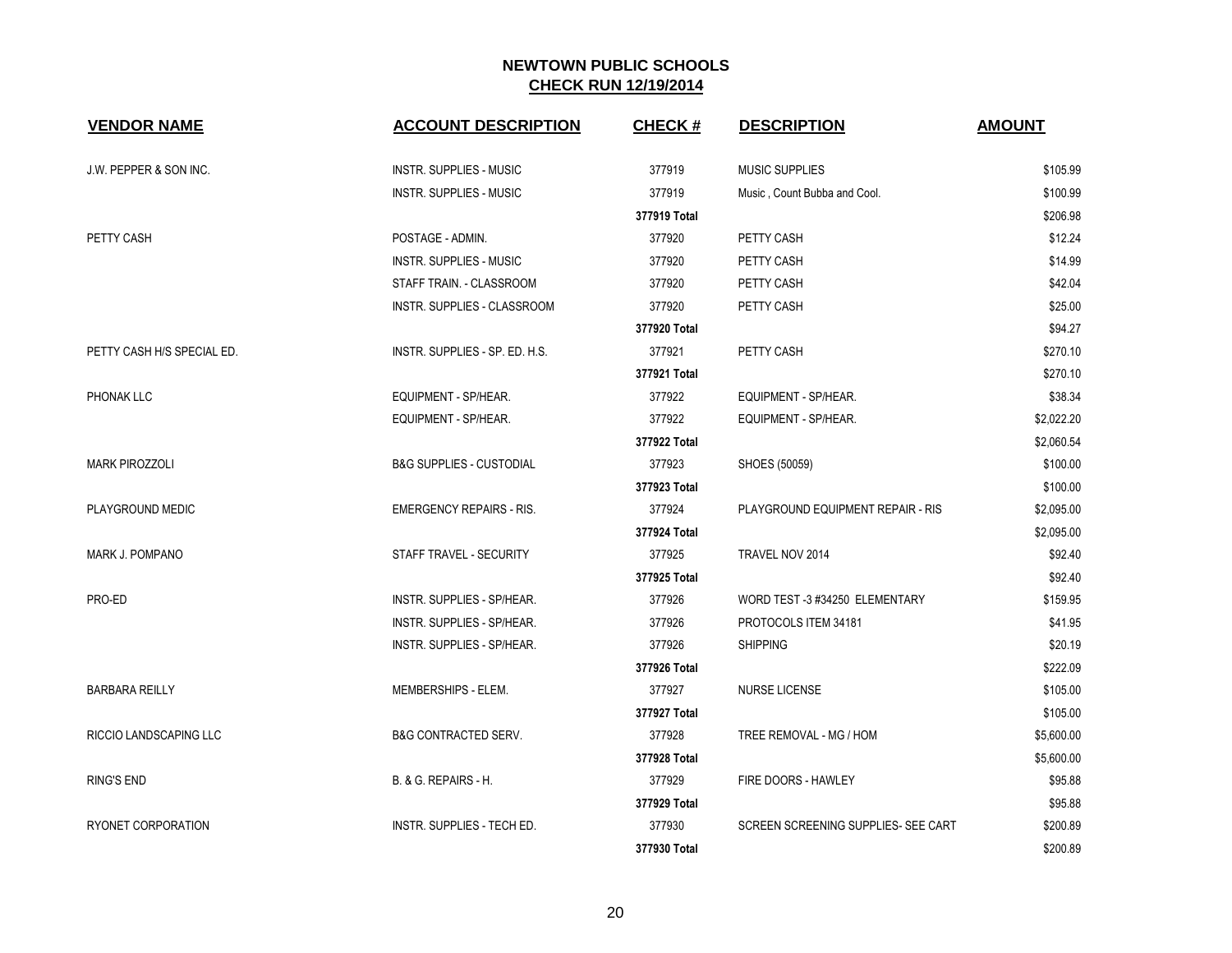| <b>VENDOR NAME</b>         | <b>ACCOUNT DESCRIPTION</b>          | <b>CHECK#</b> | <b>DESCRIPTION</b>                  | <b>AMOUNT</b> |
|----------------------------|-------------------------------------|---------------|-------------------------------------|---------------|
| J.W. PEPPER & SON INC.     | <b>INSTR. SUPPLIES - MUSIC</b>      | 377919        | MUSIC SUPPLIES                      | \$105.99      |
|                            | <b>INSTR. SUPPLIES - MUSIC</b>      | 377919        | Music, Count Bubba and Cool.        | \$100.99      |
|                            |                                     | 377919 Total  |                                     | \$206.98      |
| PETTY CASH                 | POSTAGE - ADMIN.                    | 377920        | PETTY CASH                          | \$12.24       |
|                            | <b>INSTR. SUPPLIES - MUSIC</b>      | 377920        | PETTY CASH                          | \$14.99       |
|                            | STAFF TRAIN. - CLASSROOM            | 377920        | PETTY CASH                          | \$42.04       |
|                            | INSTR. SUPPLIES - CLASSROOM         | 377920        | PETTY CASH                          | \$25.00       |
|                            |                                     | 377920 Total  |                                     | \$94.27       |
| PETTY CASH H/S SPECIAL ED. | INSTR. SUPPLIES - SP. ED. H.S.      | 377921        | PETTY CASH                          | \$270.10      |
|                            |                                     | 377921 Total  |                                     | \$270.10      |
| <b>PHONAK LLC</b>          | EQUIPMENT - SP/HEAR.                | 377922        | EQUIPMENT - SP/HEAR.                | \$38.34       |
|                            | EQUIPMENT - SP/HEAR.                | 377922        | EQUIPMENT - SP/HEAR.                | \$2,022.20    |
|                            |                                     | 377922 Total  |                                     | \$2,060.54    |
| <b>MARK PIROZZOLI</b>      | <b>B&amp;G SUPPLIES - CUSTODIAL</b> | 377923        | SHOES (50059)                       | \$100.00      |
|                            |                                     | 377923 Total  |                                     | \$100.00      |
| PLAYGROUND MEDIC           | <b>EMERGENCY REPAIRS - RIS.</b>     | 377924        | PLAYGROUND EQUIPMENT REPAIR - RIS   | \$2,095.00    |
|                            |                                     | 377924 Total  |                                     | \$2,095.00    |
| MARK J. POMPANO            | STAFF TRAVEL - SECURITY             | 377925        | TRAVEL NOV 2014                     | \$92.40       |
|                            |                                     | 377925 Total  |                                     | \$92.40       |
| PRO-ED                     | <b>INSTR. SUPPLIES - SP/HEAR.</b>   | 377926        | WORD TEST -3 #34250 ELEMENTARY      | \$159.95      |
|                            | <b>INSTR. SUPPLIES - SP/HEAR.</b>   | 377926        | PROTOCOLS ITEM 34181                | \$41.95       |
|                            | INSTR. SUPPLIES - SP/HEAR.          | 377926        | <b>SHIPPING</b>                     | \$20.19       |
|                            |                                     | 377926 Total  |                                     | \$222.09      |
| <b>BARBARA REILLY</b>      | MEMBERSHIPS - ELEM.                 | 377927        | <b>NURSE LICENSE</b>                | \$105.00      |
|                            |                                     | 377927 Total  |                                     | \$105.00      |
| RICCIO LANDSCAPING LLC     | <b>B&amp;G CONTRACTED SERV.</b>     | 377928        | TREE REMOVAL - MG / HOM             | \$5,600.00    |
|                            |                                     | 377928 Total  |                                     | \$5,600.00    |
| <b>RING'S END</b>          | B. & G. REPAIRS - H.                | 377929        | FIRE DOORS - HAWLEY                 | \$95.88       |
|                            |                                     | 377929 Total  |                                     | \$95.88       |
| RYONET CORPORATION         | <b>INSTR. SUPPLIES - TECH ED.</b>   | 377930        | SCREEN SCREENING SUPPLIES- SEE CART | \$200.89      |
|                            |                                     | 377930 Total  |                                     | \$200.89      |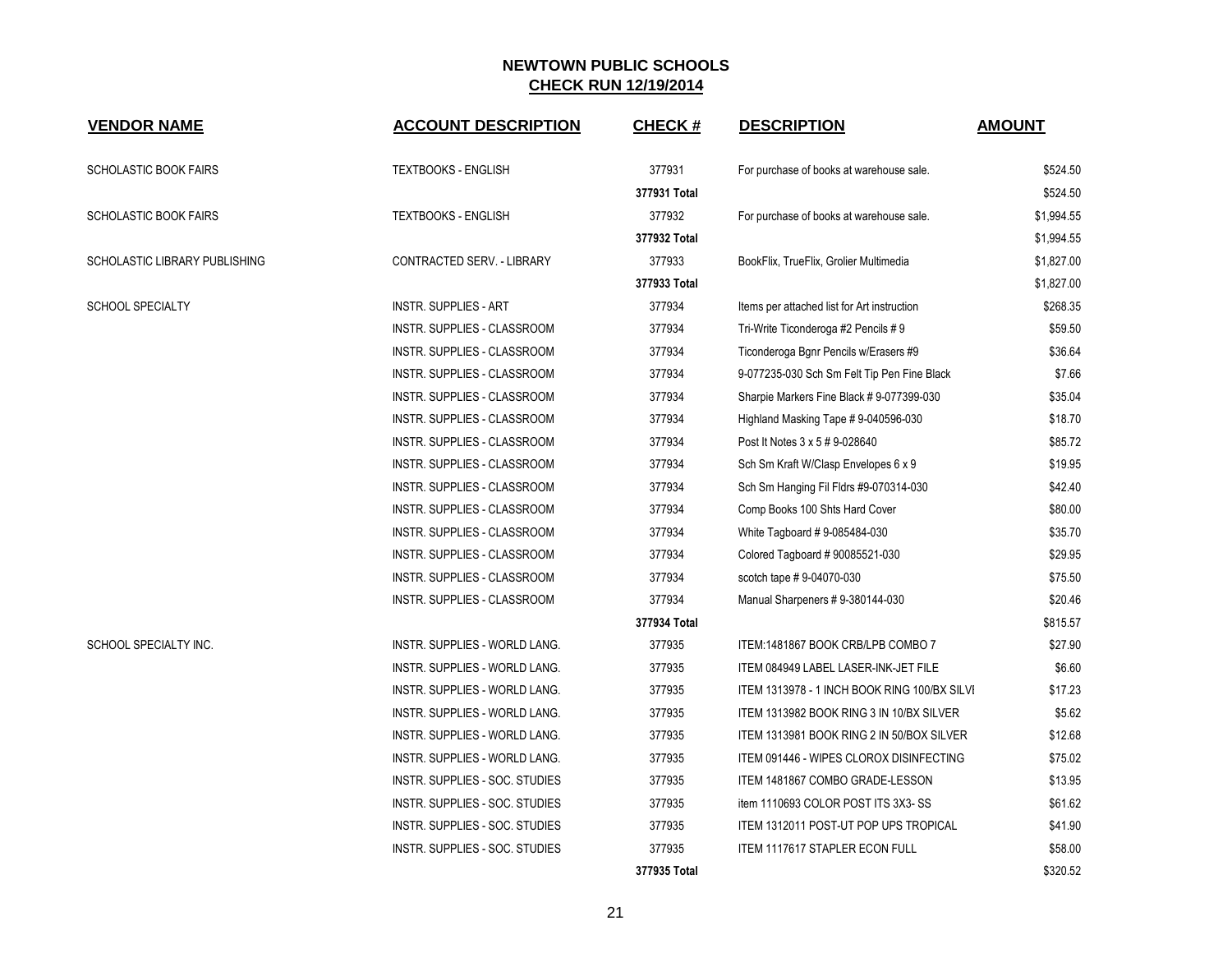| <b>VENDOR NAME</b>            | <b>ACCOUNT DESCRIPTION</b>     | <b>CHECK#</b> | <b>DESCRIPTION</b>                           | <b>AMOUNT</b> |
|-------------------------------|--------------------------------|---------------|----------------------------------------------|---------------|
| <b>SCHOLASTIC BOOK FAIRS</b>  | <b>TEXTBOOKS - ENGLISH</b>     | 377931        | For purchase of books at warehouse sale.     | \$524.50      |
|                               |                                | 377931 Total  |                                              | \$524.50      |
| <b>SCHOLASTIC BOOK FAIRS</b>  | <b>TEXTBOOKS - ENGLISH</b>     | 377932        | For purchase of books at warehouse sale.     | \$1,994.55    |
|                               |                                | 377932 Total  |                                              | \$1,994.55    |
| SCHOLASTIC LIBRARY PUBLISHING | CONTRACTED SERV. - LIBRARY     | 377933        | BookFlix, TrueFlix, Grolier Multimedia       | \$1,827.00    |
|                               |                                | 377933 Total  |                                              | \$1,827.00    |
| <b>SCHOOL SPECIALTY</b>       | <b>INSTR. SUPPLIES - ART</b>   | 377934        | Items per attached list for Art instruction  | \$268.35      |
|                               | INSTR. SUPPLIES - CLASSROOM    | 377934        | Tri-Write Ticonderoga #2 Pencils # 9         | \$59.50       |
|                               | INSTR. SUPPLIES - CLASSROOM    | 377934        | Ticonderoga Bgnr Pencils w/Erasers #9        | \$36.64       |
|                               | INSTR. SUPPLIES - CLASSROOM    | 377934        | 9-077235-030 Sch Sm Felt Tip Pen Fine Black  | \$7.66        |
|                               | INSTR. SUPPLIES - CLASSROOM    | 377934        | Sharpie Markers Fine Black #9-077399-030     | \$35.04       |
|                               | INSTR. SUPPLIES - CLASSROOM    | 377934        | Highland Masking Tape #9-040596-030          | \$18.70       |
|                               | INSTR. SUPPLIES - CLASSROOM    | 377934        | Post It Notes 3 x 5 # 9-028640               | \$85.72       |
|                               | INSTR. SUPPLIES - CLASSROOM    | 377934        | Sch Sm Kraft W/Clasp Envelopes 6 x 9         | \$19.95       |
|                               | INSTR. SUPPLIES - CLASSROOM    | 377934        | Sch Sm Hanging Fil Fldrs #9-070314-030       | \$42.40       |
|                               | INSTR. SUPPLIES - CLASSROOM    | 377934        | Comp Books 100 Shts Hard Cover               | \$80.00       |
|                               | INSTR. SUPPLIES - CLASSROOM    | 377934        | White Tagboard #9-085484-030                 | \$35.70       |
|                               | INSTR. SUPPLIES - CLASSROOM    | 377934        | Colored Tagboard #90085521-030               | \$29.95       |
|                               | INSTR. SUPPLIES - CLASSROOM    | 377934        | scotch tape #9-04070-030                     | \$75.50       |
|                               | INSTR. SUPPLIES - CLASSROOM    | 377934        | Manual Sharpeners #9-380144-030              | \$20.46       |
|                               |                                | 377934 Total  |                                              | \$815.57      |
| SCHOOL SPECIALTY INC.         | INSTR. SUPPLIES - WORLD LANG.  | 377935        | ITEM: 1481867 BOOK CRB/LPB COMBO 7           | \$27.90       |
|                               | INSTR. SUPPLIES - WORLD LANG.  | 377935        | ITEM 084949 LABEL LASER-INK-JET FILE         | \$6.60        |
|                               | INSTR. SUPPLIES - WORLD LANG.  | 377935        | ITEM 1313978 - 1 INCH BOOK RING 100/BX SILVI | \$17.23       |
|                               | INSTR. SUPPLIES - WORLD LANG.  | 377935        | ITEM 1313982 BOOK RING 3 IN 10/BX SILVER     | \$5.62        |
|                               | INSTR. SUPPLIES - WORLD LANG.  | 377935        | ITEM 1313981 BOOK RING 2 IN 50/BOX SILVER    | \$12.68       |
|                               | INSTR. SUPPLIES - WORLD LANG.  | 377935        | ITEM 091446 - WIPES CLOROX DISINFECTING      | \$75.02       |
|                               | INSTR. SUPPLIES - SOC. STUDIES | 377935        | ITEM 1481867 COMBO GRADE-LESSON              | \$13.95       |
|                               | INSTR. SUPPLIES - SOC. STUDIES | 377935        | item 1110693 COLOR POST ITS 3X3-SS           | \$61.62       |
|                               | INSTR. SUPPLIES - SOC. STUDIES | 377935        | ITEM 1312011 POST-UT POP UPS TROPICAL        | \$41.90       |
|                               | INSTR. SUPPLIES - SOC. STUDIES | 377935        | ITEM 1117617 STAPLER ECON FULL               | \$58.00       |
|                               |                                | 377935 Total  |                                              | \$320.52      |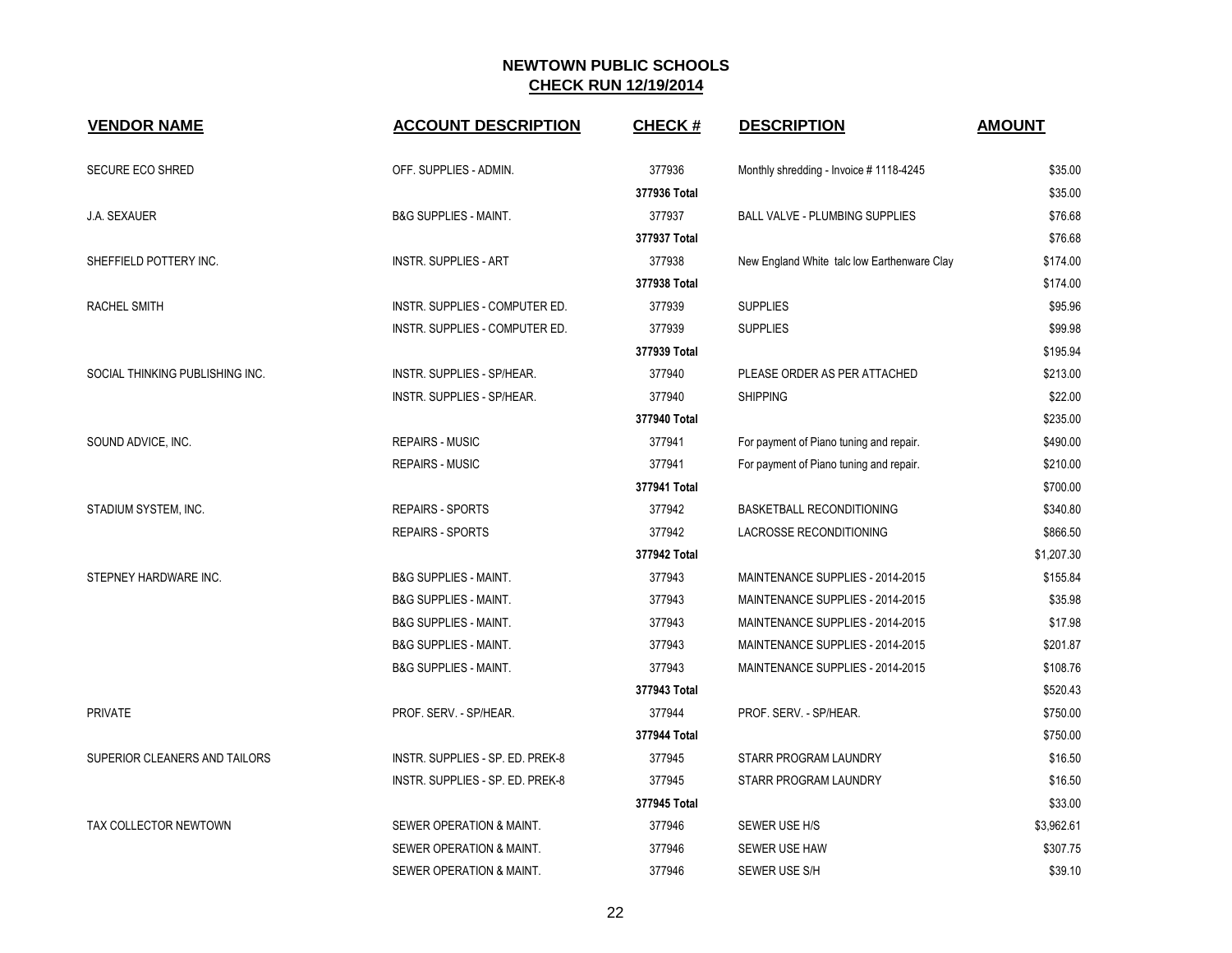| <b>VENDOR NAME</b>              | <b>ACCOUNT DESCRIPTION</b>        | <b>CHECK#</b> | <b>DESCRIPTION</b>                          | <b>AMOUNT</b> |
|---------------------------------|-----------------------------------|---------------|---------------------------------------------|---------------|
| <b>SECURE ECO SHRED</b>         | OFF. SUPPLIES - ADMIN.            | 377936        | Monthly shredding - Invoice #1118-4245      | \$35.00       |
|                                 |                                   | 377936 Total  |                                             | \$35.00       |
| J.A. SEXAUER                    | <b>B&amp;G SUPPLIES - MAINT.</b>  | 377937        | <b>BALL VALVE - PLUMBING SUPPLIES</b>       | \$76.68       |
|                                 |                                   | 377937 Total  |                                             | \$76.68       |
| SHEFFIELD POTTERY INC.          | <b>INSTR. SUPPLIES - ART</b>      | 377938        | New England White talc low Earthenware Clay | \$174.00      |
|                                 |                                   | 377938 Total  |                                             | \$174.00      |
| RACHEL SMITH                    | INSTR. SUPPLIES - COMPUTER ED.    | 377939        | <b>SUPPLIES</b>                             | \$95.96       |
|                                 | INSTR. SUPPLIES - COMPUTER ED.    | 377939        | <b>SUPPLIES</b>                             | \$99.98       |
|                                 |                                   | 377939 Total  |                                             | \$195.94      |
| SOCIAL THINKING PUBLISHING INC. | <b>INSTR. SUPPLIES - SP/HEAR.</b> | 377940        | PLEASE ORDER AS PER ATTACHED                | \$213.00      |
|                                 | INSTR. SUPPLIES - SP/HEAR.        | 377940        | <b>SHIPPING</b>                             | \$22.00       |
|                                 |                                   | 377940 Total  |                                             | \$235.00      |
| SOUND ADVICE, INC.              | <b>REPAIRS - MUSIC</b>            | 377941        | For payment of Piano tuning and repair.     | \$490.00      |
|                                 | <b>REPAIRS - MUSIC</b>            | 377941        | For payment of Piano tuning and repair.     | \$210.00      |
|                                 |                                   | 377941 Total  |                                             | \$700.00      |
| STADIUM SYSTEM, INC.            | <b>REPAIRS - SPORTS</b>           | 377942        | <b>BASKETBALL RECONDITIONING</b>            | \$340.80      |
|                                 | <b>REPAIRS - SPORTS</b>           | 377942        | <b>LACROSSE RECONDITIONING</b>              | \$866.50      |
|                                 |                                   | 377942 Total  |                                             | \$1,207.30    |
| STEPNEY HARDWARE INC.           | <b>B&amp;G SUPPLIES - MAINT.</b>  | 377943        | MAINTENANCE SUPPLIES - 2014-2015            | \$155.84      |
|                                 | <b>B&amp;G SUPPLIES - MAINT.</b>  | 377943        | MAINTENANCE SUPPLIES - 2014-2015            | \$35.98       |
|                                 | <b>B&amp;G SUPPLIES - MAINT.</b>  | 377943        | MAINTENANCE SUPPLIES - 2014-2015            | \$17.98       |
|                                 | <b>B&amp;G SUPPLIES - MAINT.</b>  | 377943        | MAINTENANCE SUPPLIES - 2014-2015            | \$201.87      |
|                                 | <b>B&amp;G SUPPLIES - MAINT.</b>  | 377943        | MAINTENANCE SUPPLIES - 2014-2015            | \$108.76      |
|                                 |                                   | 377943 Total  |                                             | \$520.43      |
| <b>PRIVATE</b>                  | PROF. SERV. - SP/HEAR.            | 377944        | PROF. SERV. - SP/HEAR.                      | \$750.00      |
|                                 |                                   | 377944 Total  |                                             | \$750.00      |
| SUPERIOR CLEANERS AND TAILORS   | INSTR. SUPPLIES - SP. ED. PREK-8  | 377945        | STARR PROGRAM LAUNDRY                       | \$16.50       |
|                                 | INSTR. SUPPLIES - SP. ED. PREK-8  | 377945        | STARR PROGRAM LAUNDRY                       | \$16.50       |
|                                 |                                   | 377945 Total  |                                             | \$33.00       |
| TAX COLLECTOR NEWTOWN           | SEWER OPERATION & MAINT.          | 377946        | SEWER USE H/S                               | \$3,962.61    |
|                                 | SEWER OPERATION & MAINT.          | 377946        | <b>SEWER USE HAW</b>                        | \$307.75      |
|                                 | SEWER OPERATION & MAINT.          | 377946        | SEWER USE S/H                               | \$39.10       |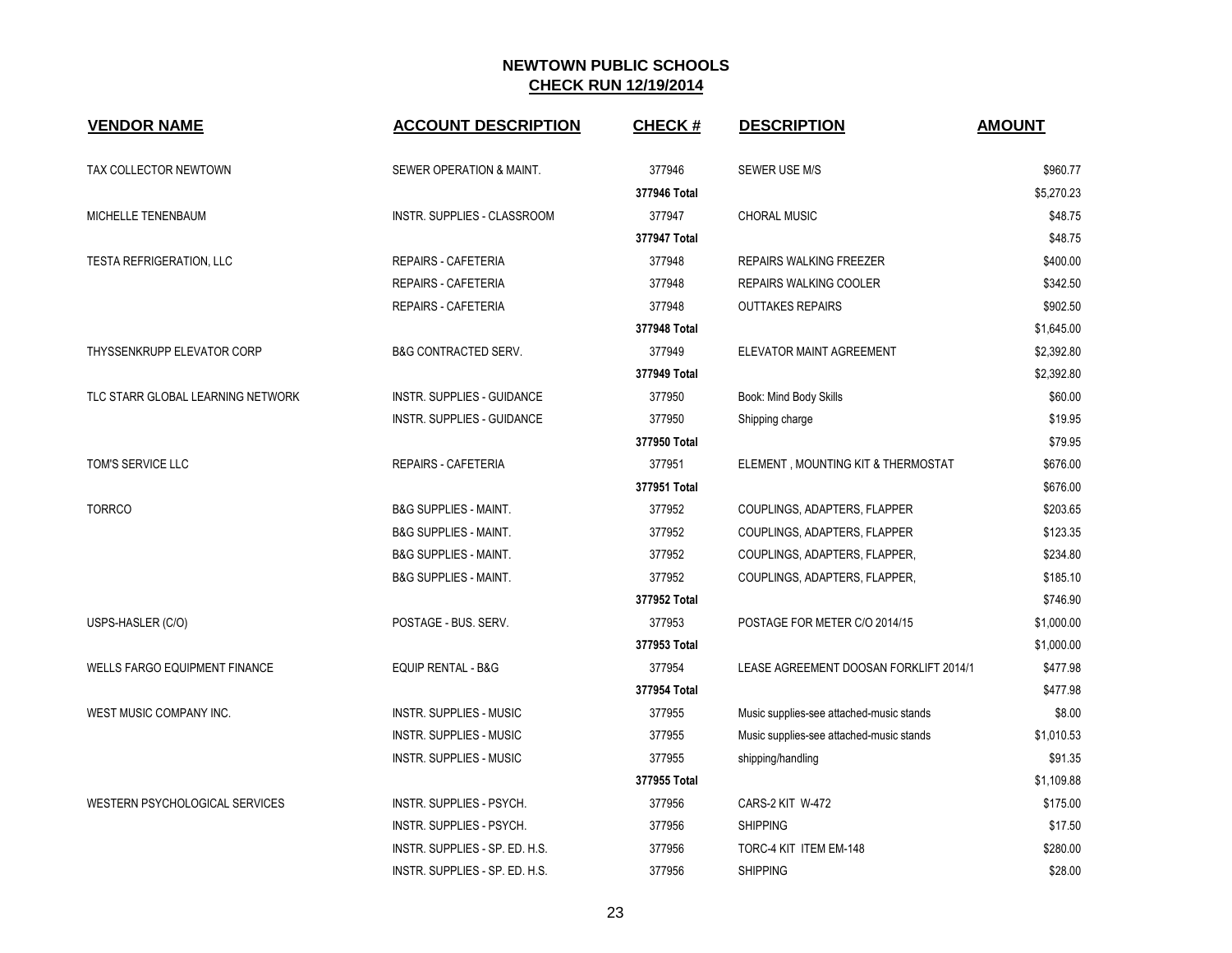| <b>VENDOR NAME</b>                   | <b>ACCOUNT DESCRIPTION</b>        | <b>CHECK#</b> | <b>DESCRIPTION</b>                       | <b>AMOUNT</b> |
|--------------------------------------|-----------------------------------|---------------|------------------------------------------|---------------|
| TAX COLLECTOR NEWTOWN                | SEWER OPERATION & MAINT.          | 377946        | SEWER USE M/S                            | \$960.77      |
|                                      |                                   | 377946 Total  |                                          | \$5,270.23    |
| MICHELLE TENENBAUM                   | INSTR. SUPPLIES - CLASSROOM       | 377947        | <b>CHORAL MUSIC</b>                      | \$48.75       |
|                                      |                                   | 377947 Total  |                                          | \$48.75       |
| TESTA REFRIGERATION, LLC             | <b>REPAIRS - CAFETERIA</b>        | 377948        | <b>REPAIRS WALKING FREEZER</b>           | \$400.00      |
|                                      | REPAIRS - CAFETERIA               | 377948        | REPAIRS WALKING COOLER                   | \$342.50      |
|                                      | REPAIRS - CAFETERIA               | 377948        | <b>OUTTAKES REPAIRS</b>                  | \$902.50      |
|                                      |                                   | 377948 Total  |                                          | \$1,645.00    |
| THYSSENKRUPP ELEVATOR CORP           | B&G CONTRACTED SERV.              | 377949        | ELEVATOR MAINT AGREEMENT                 | \$2,392.80    |
|                                      |                                   | 377949 Total  |                                          | \$2,392.80    |
| TLC STARR GLOBAL LEARNING NETWORK    | <b>INSTR. SUPPLIES - GUIDANCE</b> | 377950        | Book: Mind Body Skills                   | \$60.00       |
|                                      | <b>INSTR. SUPPLIES - GUIDANCE</b> | 377950        | Shipping charge                          | \$19.95       |
|                                      |                                   | 377950 Total  |                                          | \$79.95       |
| TOM'S SERVICE LLC                    | REPAIRS - CAFETERIA               | 377951        | ELEMENT, MOUNTING KIT & THERMOSTAT       | \$676.00      |
|                                      |                                   | 377951 Total  |                                          | \$676.00      |
| <b>TORRCO</b>                        | <b>B&amp;G SUPPLIES - MAINT.</b>  | 377952        | COUPLINGS, ADAPTERS, FLAPPER             | \$203.65      |
|                                      | <b>B&amp;G SUPPLIES - MAINT.</b>  | 377952        | COUPLINGS, ADAPTERS, FLAPPER             | \$123.35      |
|                                      | <b>B&amp;G SUPPLIES - MAINT.</b>  | 377952        | COUPLINGS, ADAPTERS, FLAPPER,            | \$234.80      |
|                                      | <b>B&amp;G SUPPLIES - MAINT.</b>  | 377952        | COUPLINGS, ADAPTERS, FLAPPER,            | \$185.10      |
|                                      |                                   | 377952 Total  |                                          | \$746.90      |
| USPS-HASLER (C/O)                    | POSTAGE - BUS. SERV.              | 377953        | POSTAGE FOR METER C/O 2014/15            | \$1,000.00    |
|                                      |                                   | 377953 Total  |                                          | \$1,000.00    |
| <b>WELLS FARGO EQUIPMENT FINANCE</b> | <b>EQUIP RENTAL - B&amp;G</b>     | 377954        | LEASE AGREEMENT DOOSAN FORKLIFT 2014/1   | \$477.98      |
|                                      |                                   | 377954 Total  |                                          | \$477.98      |
| WEST MUSIC COMPANY INC.              | <b>INSTR. SUPPLIES - MUSIC</b>    | 377955        | Music supplies-see attached-music stands | \$8.00        |
|                                      | <b>INSTR. SUPPLIES - MUSIC</b>    | 377955        | Music supplies-see attached-music stands | \$1,010.53    |
|                                      | <b>INSTR. SUPPLIES - MUSIC</b>    | 377955        | shipping/handling                        | \$91.35       |
|                                      |                                   | 377955 Total  |                                          | \$1,109.88    |
| WESTERN PSYCHOLOGICAL SERVICES       | INSTR. SUPPLIES - PSYCH.          | 377956        | CARS-2 KIT W-472                         | \$175.00      |
|                                      | INSTR. SUPPLIES - PSYCH.          | 377956        | <b>SHIPPING</b>                          | \$17.50       |
|                                      | INSTR. SUPPLIES - SP. ED. H.S.    | 377956        | TORC-4 KIT ITEM EM-148                   | \$280.00      |
|                                      | INSTR. SUPPLIES - SP. ED. H.S.    | 377956        | <b>SHIPPING</b>                          | \$28.00       |